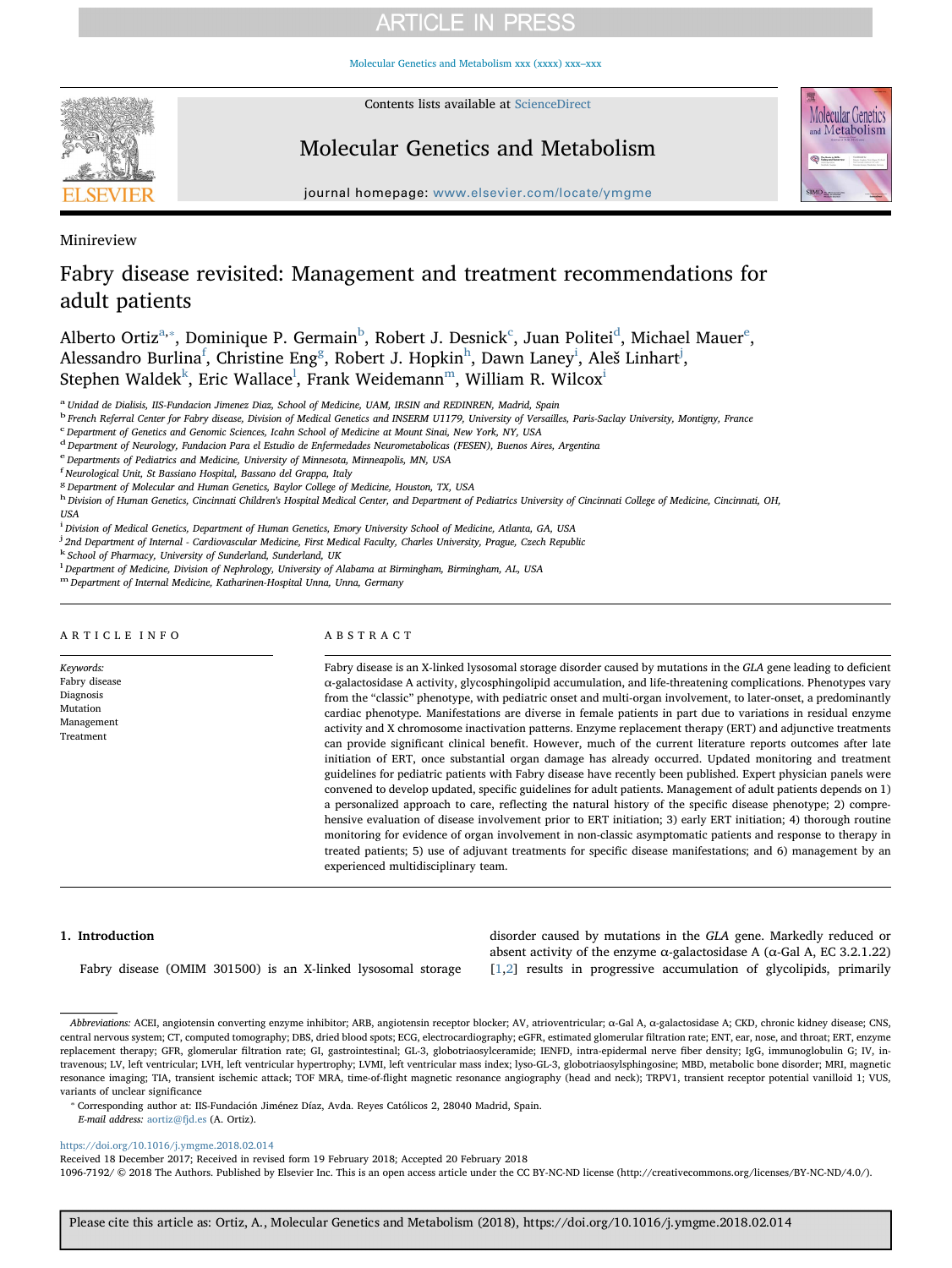[Molecular Genetics and Metabolism xxx \(xxxx\) xxx–xxx](https://doi.org/10.1016/j.ymgme.2018.02.014)



Contents lists available at [ScienceDirect](http://www.sciencedirect.com/science/journal/10967192)

# Molecular Genetics and Metabolism



journal homepage: www.elsevier.com/located/ymgmeter.com/located/ymgmeter.com/located/ymgmeter.com/located/ymgmeter.com/located/ymgmeter.com/located/ymgmeter.com/located/ymgmeter.com/located/ymgmeter.com/located/ymgmeter.c

Minireview

# Fabry disease revisited: Management and treatment recommendations for adult patients

Al[b](#page-0-2)erto Ortiz<sup>a,</sup>\*, Dominique P. Germain<sup>b</sup>, Robert J. Desni[c](#page-0-3)k<sup>c</sup>, Juan Politei<sup>[d](#page-0-4)</sup>, Micha[e](#page-0-5)l Mauer<sup>e</sup>, Alessandro Burlina<sup>[f](#page-0-6)</sup>, Christine En[g](#page-0-7)<sup>g</sup>, Robert J. Hopkin<sup>[h](#page-0-8)</sup>, Dawn Laney<sup>[i](#page-0-9)</sup>, Aleš Linhart<sup>[j](#page-0-10)</sup>, Stephen Walde[k](#page-0-11) $^{\rm k}$ , Eric Wa[l](#page-0-12)lace $^{\rm l}$ , Frank Weidemann $^{\rm m}$ , William R. Wilcox $^{\rm i}$ 

<span id="page-0-0"></span><sup>a</sup> Unidad de Dialisis, IIS-Fundacion Jimenez Diaz, School of Medicine, UAM, IRSIN and REDINREN, Madrid, Spain

<span id="page-0-2"></span><sup>b</sup> French Referral Center for Fabry disease, Division of Medical Genetics and INSERM U1179, University of Versailles, Paris-Saclay University, Montigny, France

<span id="page-0-3"></span>c Department of Genetics and Genomic Sciences, Icahn School of Medicine at Mount Sinai, New York, NY, USA

<span id="page-0-4"></span> $d$  Department of Neurology, Fundacion Para el Estudio de Enfermedades Neurometabolicas (FESEN), Buenos Aires, Argentina

<span id="page-0-5"></span>e Departments of Pediatrics and Medicine, University of Minnesota, Minneapolis, MN, USA

<span id="page-0-6"></span>f Neurological Unit, St Bassiano Hospital, Bassano del Grappa, Italy

<span id="page-0-7"></span><sup>8</sup> Department of Molecular and Human Genetics, Baylor College of Medicine, Houston, TX, USA

<span id="page-0-8"></span>h Division of Human Genetics, Cincinnati Children's Hospital Medical Center, and Department of Pediatrics University of Cincinnati College of Medicine, Cincinnati, OH, USA

<span id="page-0-9"></span><u>.</u><br>Division of Medical Genetics, Department of Human Genetics, Emory University School of Medicine, Atlanta, GA, USA

<span id="page-0-10"></span><sup>j</sup> 2nd Department of Internal - Cardiovascular Medicine, First Medical Faculty, Charles University, Prague, Czech Republic

<span id="page-0-11"></span><sup>k</sup> School of Pharmacy, University of Sunderland, Sunderland, UK

<span id="page-0-12"></span><sup>1</sup> Department of Medicine, Division of Nephrology, University of Alabama at Birmingham, Birmingham, AL, USA

<span id="page-0-13"></span>m Department of Internal Medicine, Katharinen-Hospital Unna, Unna, Germany

## ARTICLE INFO

Keywords: Fabry disease Diagnosis Mutation Management Treatment

# ABSTRACT

Fabry disease is an X-linked lysosomal storage disorder caused by mutations in the GLA gene leading to deficient α-galactosidase A activity, glycosphingolipid accumulation, and life-threatening complications. Phenotypes vary from the "classic" phenotype, with pediatric onset and multi-organ involvement, to later-onset, a predominantly cardiac phenotype. Manifestations are diverse in female patients in part due to variations in residual enzyme activity and X chromosome inactivation patterns. Enzyme replacement therapy (ERT) and adjunctive treatments can provide significant clinical benefit. However, much of the current literature reports outcomes after late initiation of ERT, once substantial organ damage has already occurred. Updated monitoring and treatment guidelines for pediatric patients with Fabry disease have recently been published. Expert physician panels were convened to develop updated, specific guidelines for adult patients. Management of adult patients depends on 1) a personalized approach to care, reflecting the natural history of the specific disease phenotype; 2) comprehensive evaluation of disease involvement prior to ERT initiation; 3) early ERT initiation; 4) thorough routine monitoring for evidence of organ involvement in non-classic asymptomatic patients and response to therapy in treated patients; 5) use of adjuvant treatments for specific disease manifestations; and 6) management by an experienced multidisciplinary team.

# 1. Introduction

Fabry disease (OMIM 301500) is an X-linked lysosomal storage

disorder caused by mutations in the GLA gene. Markedly reduced or absent activity of the enzyme α-galactosidase A ( $α$ -Gal A, EC 3.2.1.22) [[1](#page-9-0),[2](#page-9-1)] results in progressive accumulation of glycolipids, primarily

Abbreviations: ACEI, angiotensin converting enzyme inhibitor; ARB, angiotensin receptor blocker; AV, atrioventricular; α-Gal A, α-galactosidase A; CKD, chronic kidney disease; CNS, central nervous system; CT, computed tomography; DBS, dried blood spots; ECG, electrocardiography; eGFR, estimated glomerular filtration rate; ENT, ear, nose, and throat; ERT, enzyme replacement therapy; GFR, glomerular filtration rate; GI, gastrointestinal; GL-3, globotriaosylceramide; IENFD, intra-epidermal nerve fiber density; IgG, immunoglobulin G; IV, intravenous; LV, left ventricular; LVH, left ventricular hypertrophy; LVMI, left ventricular mass index; lyso-GL-3, globotriaosylsphingosine; MBD, metabolic bone disorder; MRI, magnetic resonance imaging; TIA, transient ischemic attack; TOF MRA, time-of-flight magnetic resonance angiography (head and neck); TRPV1, transient receptor potential vanilloid 1; VUS, variants of unclear significance

<span id="page-0-1"></span>⁎ Corresponding author at: IIS-Fundación Jiménez Díaz, Avda. Reyes Católicos 2, 28040 Madrid, Spain.

E-mail address: [aortiz@fjd.es](mailto:aortiz@fjd.es) (A. Ortiz).

<https://doi.org/10.1016/j.ymgme.2018.02.014>

Received 18 December 2017; Received in revised form 19 February 2018; Accepted 20 February 2018

1096-7192/ © 2018 The Authors. Published by Elsevier Inc. This is an open access article under the CC BY-NC-ND license (http://creativecommons.org/licenses/BY-NC-ND/4.0/).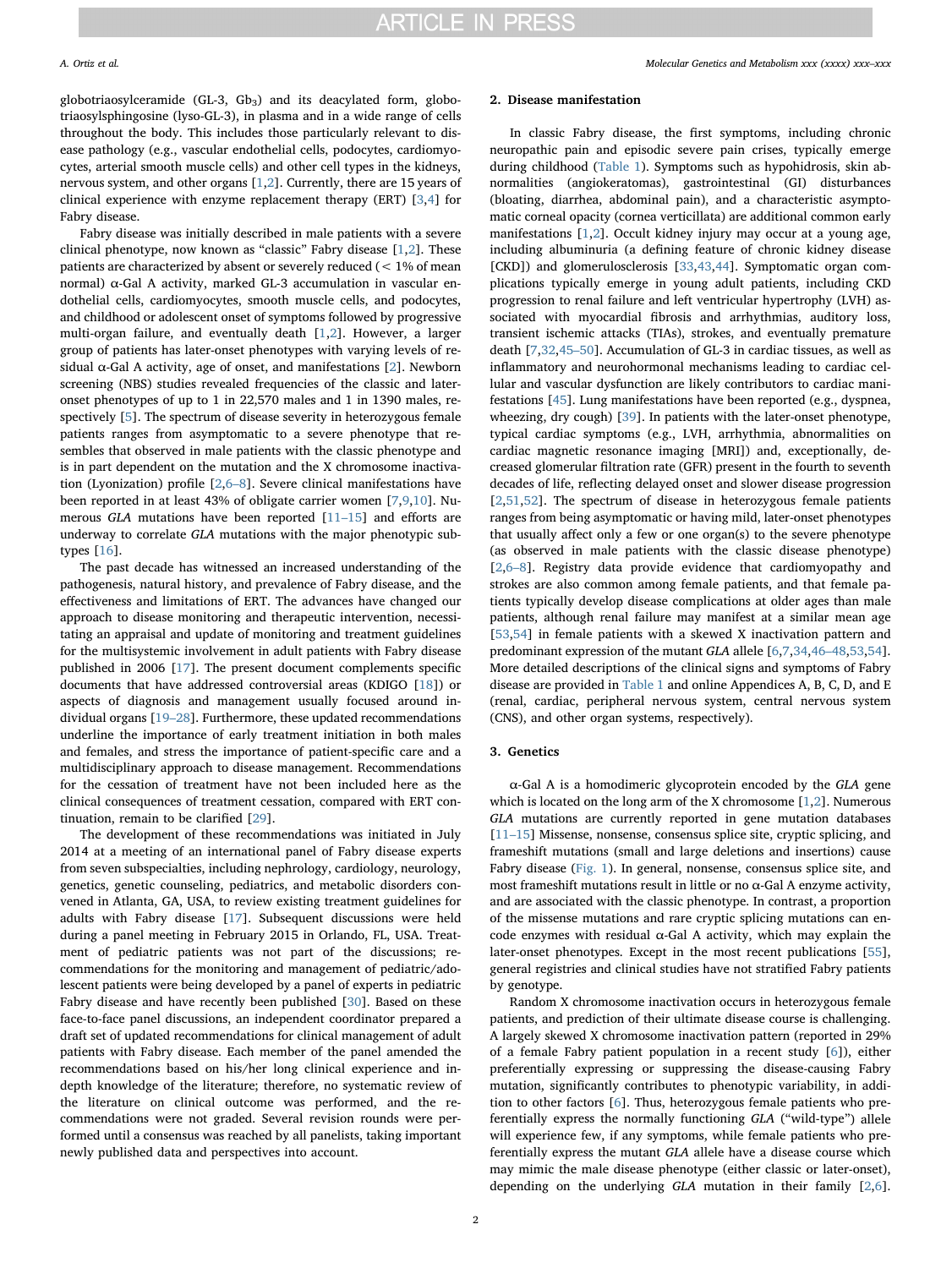globotriaosylceramide (GL-3, Gb<sub>3</sub>) and its deacylated form, globotriaosylsphingosine (lyso-GL-3), in plasma and in a wide range of cells throughout the body. This includes those particularly relevant to disease pathology (e.g., vascular endothelial cells, podocytes, cardiomyocytes, arterial smooth muscle cells) and other cell types in the kidneys, nervous system, and other organs [\[1](#page-9-0)[,2\]](#page-9-1). Currently, there are 15 years of clinical experience with enzyme replacement therapy (ERT) [[3](#page-9-2),[4](#page-9-3)] for Fabry disease.

Fabry disease was initially described in male patients with a severe clinical phenotype, now known as "classic" Fabry disease [[1](#page-9-0),[2\]](#page-9-1). These patients are characterized by absent or severely reduced (< 1% of mean normal)  $α$ -Gal A activity, marked GL-3 accumulation in vascular endothelial cells, cardiomyocytes, smooth muscle cells, and podocytes, and childhood or adolescent onset of symptoms followed by progressive multi-organ failure, and eventually death [[1](#page-9-0)[,2\]](#page-9-1). However, a larger group of patients has later-onset phenotypes with varying levels of residual α-Gal A activity, age of onset, and manifestations [[2](#page-9-1)]. Newborn screening (NBS) studies revealed frequencies of the classic and lateronset phenotypes of up to 1 in 22,570 males and 1 in 1390 males, respectively [\[5\]](#page-9-4). The spectrum of disease severity in heterozygous female patients ranges from asymptomatic to a severe phenotype that resembles that observed in male patients with the classic phenotype and is in part dependent on the mutation and the X chromosome inactivation (Lyonization) profile [[2](#page-9-1)[,6](#page-9-5)–8]. Severe clinical manifestations have been reported in at least 43% of obligate carrier women [\[7,](#page-9-6)[9](#page-9-7),[10\]](#page-9-8). Numerous GLA mutations have been reported [11–[15\]](#page-9-9) and efforts are underway to correlate GLA mutations with the major phenotypic subtypes [\[16](#page-9-10)].

The past decade has witnessed an increased understanding of the pathogenesis, natural history, and prevalence of Fabry disease, and the effectiveness and limitations of ERT. The advances have changed our approach to disease monitoring and therapeutic intervention, necessitating an appraisal and update of monitoring and treatment guidelines for the multisystemic involvement in adult patients with Fabry disease published in 2006 [\[17](#page-9-11)]. The present document complements specific documents that have addressed controversial areas (KDIGO [\[18](#page-9-12)]) or aspects of diagnosis and management usually focused around individual organs [\[19](#page-9-13)–28]. Furthermore, these updated recommendations underline the importance of early treatment initiation in both males and females, and stress the importance of patient-specific care and a multidisciplinary approach to disease management. Recommendations for the cessation of treatment have not been included here as the clinical consequences of treatment cessation, compared with ERT continuation, remain to be clarified [[29\]](#page-9-14).

The development of these recommendations was initiated in July 2014 at a meeting of an international panel of Fabry disease experts from seven subspecialties, including nephrology, cardiology, neurology, genetics, genetic counseling, pediatrics, and metabolic disorders convened in Atlanta, GA, USA, to review existing treatment guidelines for adults with Fabry disease [[17\]](#page-9-11). Subsequent discussions were held during a panel meeting in February 2015 in Orlando, FL, USA. Treatment of pediatric patients was not part of the discussions; recommendations for the monitoring and management of pediatric/adolescent patients were being developed by a panel of experts in pediatric Fabry disease and have recently been published [\[30](#page-9-15)]. Based on these face-to-face panel discussions, an independent coordinator prepared a draft set of updated recommendations for clinical management of adult patients with Fabry disease. Each member of the panel amended the recommendations based on his/her long clinical experience and indepth knowledge of the literature; therefore, no systematic review of the literature on clinical outcome was performed, and the recommendations were not graded. Several revision rounds were performed until a consensus was reached by all panelists, taking important newly published data and perspectives into account.

### 2. Disease manifestation

In classic Fabry disease, the first symptoms, including chronic neuropathic pain and episodic severe pain crises, typically emerge during childhood [\(Table 1](#page-2-0)). Symptoms such as hypohidrosis, skin abnormalities (angiokeratomas), gastrointestinal (GI) disturbances (bloating, diarrhea, abdominal pain), and a characteristic asymptomatic corneal opacity (cornea verticillata) are additional common early manifestations [\[1,](#page-9-0)[2\]](#page-9-1). Occult kidney injury may occur at a young age, including albuminuria (a defining feature of chronic kidney disease [CKD]) and glomerulosclerosis [\[33](#page-9-16)[,43](#page-9-17),[44\]](#page-9-18). Symptomatic organ complications typically emerge in young adult patients, including CKD progression to renal failure and left ventricular hypertrophy (LVH) associated with myocardial fibrosis and arrhythmias, auditory loss, transient ischemic attacks (TIAs), strokes, and eventually premature death [[7](#page-9-6),[32,](#page-9-19)45–[50\]](#page-9-20). Accumulation of GL-3 in cardiac tissues, as well as inflammatory and neurohormonal mechanisms leading to cardiac cellular and vascular dysfunction are likely contributors to cardiac manifestations [[45\]](#page-9-20). Lung manifestations have been reported (e.g., dyspnea, wheezing, dry cough) [\[39](#page-9-21)]. In patients with the later-onset phenotype, typical cardiac symptoms (e.g., LVH, arrhythmia, abnormalities on cardiac magnetic resonance imaging [MRI]) and, exceptionally, decreased glomerular filtration rate (GFR) present in the fourth to seventh decades of life, reflecting delayed onset and slower disease progression [[2](#page-9-1),[51,](#page-10-0)[52\]](#page-10-1). The spectrum of disease in heterozygous female patients ranges from being asymptomatic or having mild, later-onset phenotypes that usually affect only a few or one organ(s) to the severe phenotype (as observed in male patients with the classic disease phenotype) [[2](#page-9-1),6–[8\]](#page-9-5). Registry data provide evidence that cardiomyopathy and strokes are also common among female patients, and that female patients typically develop disease complications at older ages than male patients, although renal failure may manifest at a similar mean age [[53](#page-10-2)[,54](#page-10-3)] in female patients with a skewed X inactivation pattern and predominant expression of the mutant GLA allele [\[6,](#page-9-5)[7](#page-9-6),[34](#page-9-22),46–[48,](#page-10-4)[53,](#page-10-2)[54](#page-10-3)]. More detailed descriptions of the clinical signs and symptoms of Fabry disease are provided in [Table 1](#page-2-0) and online Appendices A, B, C, D, and E (renal, cardiac, peripheral nervous system, central nervous system (CNS), and other organ systems, respectively).

### 3. Genetics

 $\alpha$ -Gal A is a homodimeric glycoprotein encoded by the GLA gene which is located on the long arm of the X chromosome [[1](#page-9-0)[,2\]](#page-9-1). Numerous GLA mutations are currently reported in gene mutation databases [11–[15\]](#page-9-9) Missense, nonsense, consensus splice site, cryptic splicing, and frameshift mutations (small and large deletions and insertions) cause Fabry disease [\(Fig. 1\)](#page-3-0). In general, nonsense, consensus splice site, and most frameshift mutations result in little or no  $\alpha$ -Gal A enzyme activity, and are associated with the classic phenotype. In contrast, a proportion of the missense mutations and rare cryptic splicing mutations can encode enzymes with residual α-Gal A activity, which may explain the later-onset phenotypes. Except in the most recent publications [\[55](#page-10-5)], general registries and clinical studies have not stratified Fabry patients by genotype.

Random X chromosome inactivation occurs in heterozygous female patients, and prediction of their ultimate disease course is challenging. A largely skewed X chromosome inactivation pattern (reported in 29% of a female Fabry patient population in a recent study [[6](#page-9-5)]), either preferentially expressing or suppressing the disease-causing Fabry mutation, significantly contributes to phenotypic variability, in addition to other factors [\[6\]](#page-9-5). Thus, heterozygous female patients who preferentially express the normally functioning GLA ("wild-type") allele will experience few, if any symptoms, while female patients who preferentially express the mutant GLA allele have a disease course which may mimic the male disease phenotype (either classic or later-onset), depending on the underlying GLA mutation in their family [[2](#page-9-1),[6](#page-9-5)].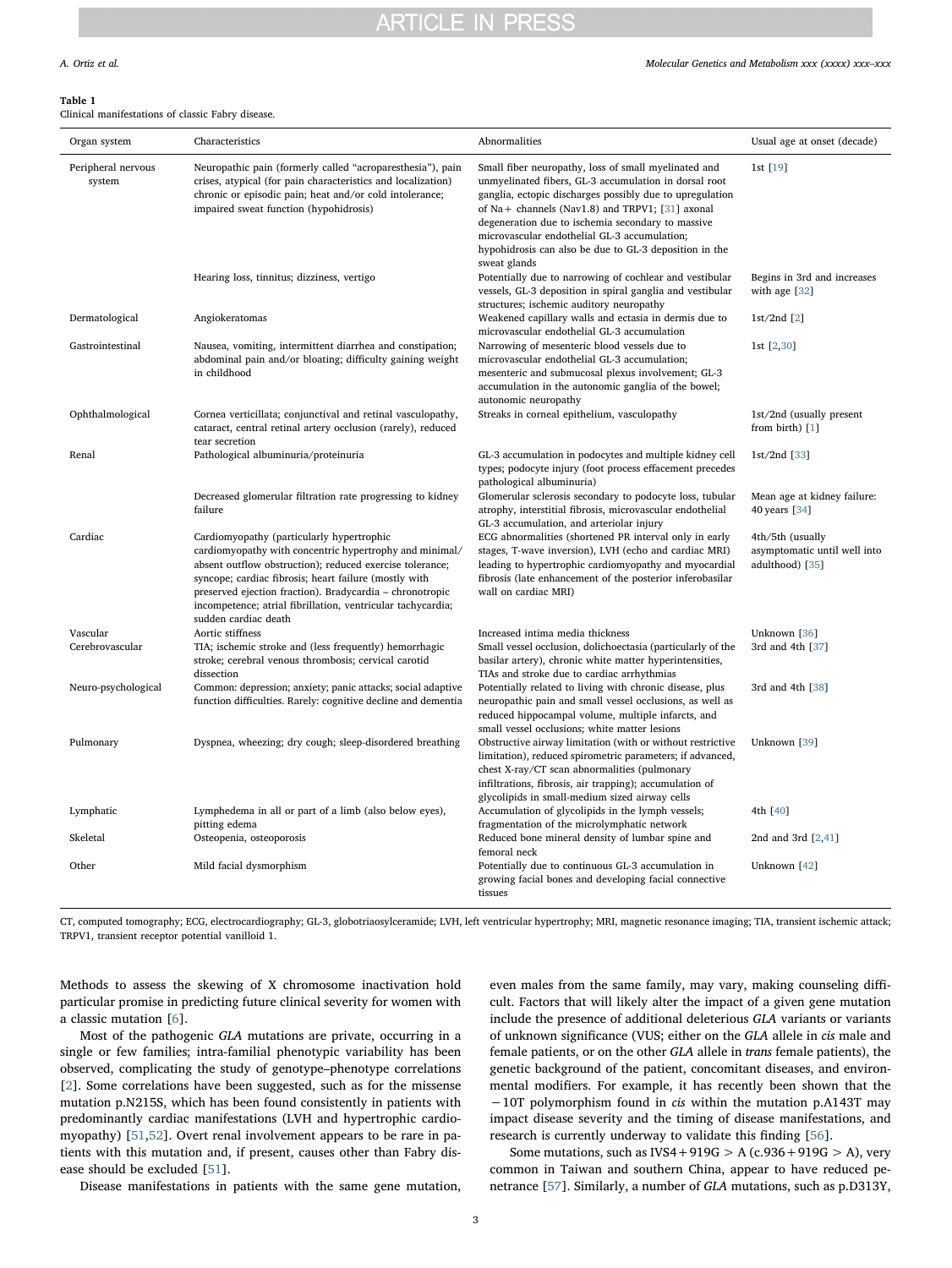### <span id="page-2-0"></span>Table 1

Clinical manifestations of classic Fabry disease.

| Organ system                 | Characteristics                                                                                                                                                                                                                                                                                                                                                              | Abnormalities                                                                                                                                                                                                                                                                                                                                                                                                  | Usual age at onset (decade)                                         |
|------------------------------|------------------------------------------------------------------------------------------------------------------------------------------------------------------------------------------------------------------------------------------------------------------------------------------------------------------------------------------------------------------------------|----------------------------------------------------------------------------------------------------------------------------------------------------------------------------------------------------------------------------------------------------------------------------------------------------------------------------------------------------------------------------------------------------------------|---------------------------------------------------------------------|
| Peripheral nervous<br>system | Neuropathic pain (formerly called "acroparesthesia"), pain<br>crises, atypical (for pain characteristics and localization)<br>chronic or episodic pain; heat and/or cold intolerance;<br>impaired sweat function (hypohidrosis)                                                                                                                                              | Small fiber neuropathy, loss of small myelinated and<br>unmyelinated fibers, GL-3 accumulation in dorsal root<br>ganglia, ectopic discharges possibly due to upregulation<br>of Na + channels (Nav1.8) and TRPV1; $[31]$ axonal<br>degeneration due to ischemia secondary to massive<br>microvascular endothelial GL-3 accumulation;<br>hypohidrosis can also be due to GL-3 deposition in the<br>sweat glands | 1st [19]                                                            |
|                              | Hearing loss, tinnitus; dizziness, vertigo                                                                                                                                                                                                                                                                                                                                   | Potentially due to narrowing of cochlear and vestibular<br>vessels, GL-3 deposition in spiral ganglia and vestibular<br>structures; ischemic auditory neuropathy                                                                                                                                                                                                                                               | Begins in 3rd and increases<br>with age [32]                        |
| Dermatological               | Angiokeratomas                                                                                                                                                                                                                                                                                                                                                               | Weakened capillary walls and ectasia in dermis due to<br>microvascular endothelial GL-3 accumulation                                                                                                                                                                                                                                                                                                           | $1st/2nd$ [2]                                                       |
| Gastrointestinal             | Nausea, vomiting, intermittent diarrhea and constipation;<br>abdominal pain and/or bloating; difficulty gaining weight<br>in childhood                                                                                                                                                                                                                                       | Narrowing of mesenteric blood vessels due to<br>microvascular endothelial GL-3 accumulation;<br>mesenteric and submucosal plexus involvement; GL-3<br>accumulation in the autonomic ganglia of the bowel;<br>autonomic neuropathy                                                                                                                                                                              | 1st [2, 30]                                                         |
| Ophthalmological             | Cornea verticillata; conjunctival and retinal vasculopathy,<br>cataract, central retinal artery occlusion (rarely), reduced<br>tear secretion                                                                                                                                                                                                                                | Streaks in corneal epithelium, vasculopathy                                                                                                                                                                                                                                                                                                                                                                    | 1st/2nd (usually present<br>from birth) [1]                         |
| Renal                        | Pathological albuminuria/proteinuria                                                                                                                                                                                                                                                                                                                                         | GL-3 accumulation in podocytes and multiple kidney cell<br>types; podocyte injury (foot process effacement precedes<br>pathological albuminuria)                                                                                                                                                                                                                                                               | $1st/2nd$ [33]                                                      |
|                              | Decreased glomerular filtration rate progressing to kidney<br>failure                                                                                                                                                                                                                                                                                                        | Glomerular sclerosis secondary to podocyte loss, tubular<br>atrophy, interstitial fibrosis, microvascular endothelial<br>GL-3 accumulation, and arteriolar injury                                                                                                                                                                                                                                              | Mean age at kidney failure:<br>40 years [34]                        |
| Cardiac                      | Cardiomyopathy (particularly hypertrophic<br>cardiomyopathy with concentric hypertrophy and minimal/<br>absent outflow obstruction); reduced exercise tolerance;<br>syncope; cardiac fibrosis; heart failure (mostly with<br>preserved ejection fraction). Bradycardia - chronotropic<br>incompetence; atrial fibrillation, ventricular tachycardia;<br>sudden cardiac death | ECG abnormalities (shortened PR interval only in early<br>stages, T-wave inversion), LVH (echo and cardiac MRI)<br>leading to hypertrophic cardiomyopathy and myocardial<br>fibrosis (late enhancement of the posterior inferobasilar<br>wall on cardiac MRI)                                                                                                                                                  | 4th/5th (usually<br>asymptomatic until well into<br>adulthood) [35] |
| Vascular                     | Aortic stiffness                                                                                                                                                                                                                                                                                                                                                             | Increased intima media thickness                                                                                                                                                                                                                                                                                                                                                                               | Unknown [36]                                                        |
| Cerebrovascular              | TIA; ischemic stroke and (less frequently) hemorrhagic<br>stroke; cerebral venous thrombosis; cervical carotid<br>dissection                                                                                                                                                                                                                                                 | Small vessel occlusion, dolichoectasia (particularly of the<br>basilar artery), chronic white matter hyperintensities,<br>TIAs and stroke due to cardiac arrhythmias                                                                                                                                                                                                                                           | 3rd and 4th [37]                                                    |
| Neuro-psychological          | Common: depression; anxiety; panic attacks; social adaptive<br>function difficulties. Rarely: cognitive decline and dementia                                                                                                                                                                                                                                                 | Potentially related to living with chronic disease, plus<br>neuropathic pain and small vessel occlusions, as well as<br>reduced hippocampal volume, multiple infarcts, and<br>small vessel occlusions; white matter lesions                                                                                                                                                                                    | 3rd and 4th [38]                                                    |
| Pulmonary                    | Dyspnea, wheezing; dry cough; sleep-disordered breathing                                                                                                                                                                                                                                                                                                                     | Obstructive airway limitation (with or without restrictive<br>limitation), reduced spirometric parameters; if advanced,<br>chest X-ray/CT scan abnormalities (pulmonary<br>infiltrations, fibrosis, air trapping); accumulation of<br>glycolipids in small-medium sized airway cells                                                                                                                           | Unknown [39]                                                        |
| Lymphatic                    | Lymphedema in all or part of a limb (also below eyes),<br>pitting edema                                                                                                                                                                                                                                                                                                      | Accumulation of glycolipids in the lymph vessels;<br>fragmentation of the microlymphatic network                                                                                                                                                                                                                                                                                                               | 4th [40]                                                            |
| Skeletal                     | Osteopenia, osteoporosis                                                                                                                                                                                                                                                                                                                                                     | Reduced bone mineral density of lumbar spine and<br>femoral neck                                                                                                                                                                                                                                                                                                                                               | 2nd and 3rd [2,41]                                                  |
| Other                        | Mild facial dysmorphism                                                                                                                                                                                                                                                                                                                                                      | Potentially due to continuous GL-3 accumulation in<br>growing facial bones and developing facial connective<br>tissues                                                                                                                                                                                                                                                                                         | Unknown [42]                                                        |

CT, computed tomography; ECG, electrocardiography; GL-3, globotriaosylceramide; LVH, left ventricular hypertrophy; MRI, magnetic resonance imaging; TIA, transient ischemic attack; TRPV1, transient receptor potential vanilloid 1.

Methods to assess the skewing of X chromosome inactivation hold particular promise in predicting future clinical severity for women with a classic mutation [[6](#page-9-5)].

Most of the pathogenic GLA mutations are private, occurring in a single or few families; intra-familial phenotypic variability has been observed, complicating the study of genotype–phenotype correlations [[2](#page-9-1)]. Some correlations have been suggested, such as for the missense mutation p.N215S, which has been found consistently in patients with predominantly cardiac manifestations (LVH and hypertrophic cardiomyopathy) [\[51](#page-10-0)[,52](#page-10-1)]. Overt renal involvement appears to be rare in patients with this mutation and, if present, causes other than Fabry disease should be excluded [[51\]](#page-10-0).

Disease manifestations in patients with the same gene mutation,

even males from the same family, may vary, making counseling difficult. Factors that will likely alter the impact of a given gene mutation include the presence of additional deleterious GLA variants or variants of unknown significance (VUS; either on the GLA allele in cis male and female patients, or on the other GLA allele in trans female patients), the genetic background of the patient, concomitant diseases, and environmental modifiers. For example, it has recently been shown that the −10T polymorphism found in cis within the mutation p.A143T may impact disease severity and the timing of disease manifestations, and research is currently underway to validate this finding [[56\]](#page-10-6).

Some mutations, such as  $IVS4 + 919G > A$  (c.936 + 919G  $> A$ ), very common in Taiwan and southern China, appear to have reduced penetrance [[57\]](#page-10-7). Similarly, a number of GLA mutations, such as p.D313Y,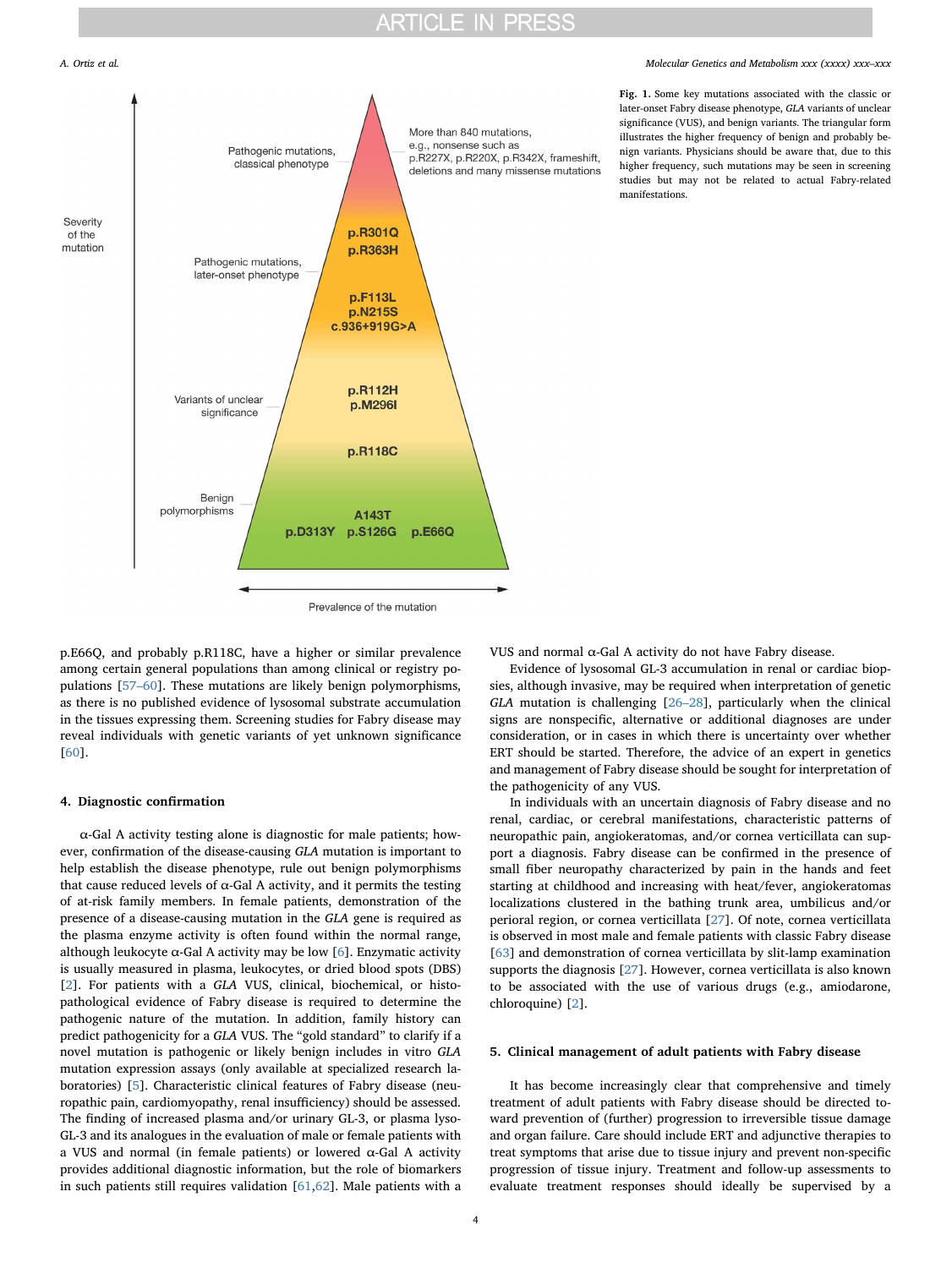

of the

# <span id="page-3-0"></span>More than 840 mutations. e.g., nonsense such as Pathogenic mutations. p.R227X, p.R220X, p.R342X, frameshift, classical phenotype deletions and many missense mutations Severity p.R301Q mutation **p.R363H** Pathogenic mutations, later-onset phenotype p.F113L p.N215S c.936+919G>A p.R112H Variants of unclear p.M296I significance p.R118C Benign polymorphisms A143T p.D313Y p.S126G p.E66Q

A. Ortiz et al. *Molecular Genetics and Metabolism xxx (xxxx) xxx–xxx*

Fig. 1. Some key mutations associated with the classic or later-onset Fabry disease phenotype, GLA variants of unclear significance (VUS), and benign variants. The triangular form illustrates the higher frequency of benign and probably benign variants. Physicians should be aware that, due to this higher frequency, such mutations may be seen in screening studies but may not be related to actual Fabry-related manifestations.

Prevalence of the mutation

p.E66Q, and probably p.R118C, have a higher or similar prevalence among certain general populations than among clinical or registry populations [[57](#page-10-7)–60]. These mutations are likely benign polymorphisms, as there is no published evidence of lysosomal substrate accumulation in the tissues expressing them. Screening studies for Fabry disease may reveal individuals with genetic variants of yet unknown significance [[60\]](#page-10-8).

### <span id="page-3-1"></span>4. Diagnostic confirmation

α-Gal A activity testing alone is diagnostic for male patients; however, confirmation of the disease-causing GLA mutation is important to help establish the disease phenotype, rule out benign polymorphisms that cause reduced levels of  $α$ -Gal A activity, and it permits the testing of at-risk family members. In female patients, demonstration of the presence of a disease-causing mutation in the GLA gene is required as the plasma enzyme activity is often found within the normal range, although leukocyte  $\alpha$ -Gal A activity may be low [\[6\]](#page-9-5). Enzymatic activity is usually measured in plasma, leukocytes, or dried blood spots (DBS) [[2](#page-9-1)]. For patients with a GLA VUS, clinical, biochemical, or histopathological evidence of Fabry disease is required to determine the pathogenic nature of the mutation. In addition, family history can predict pathogenicity for a GLA VUS. The "gold standard" to clarify if a novel mutation is pathogenic or likely benign includes in vitro GLA mutation expression assays (only available at specialized research laboratories) [[5](#page-9-4)]. Characteristic clinical features of Fabry disease (neuropathic pain, cardiomyopathy, renal insufficiency) should be assessed. The finding of increased plasma and/or urinary GL-3, or plasma lyso-GL-3 and its analogues in the evaluation of male or female patients with a VUS and normal (in female patients) or lowered α-Gal A activity provides additional diagnostic information, but the role of biomarkers in such patients still requires validation [\[61](#page-10-9)[,62](#page-10-10)]. Male patients with a

VUS and normal α-Gal A activity do not have Fabry disease.

Evidence of lysosomal GL-3 accumulation in renal or cardiac biopsies, although invasive, may be required when interpretation of genetic GLA mutation is challenging [\[26](#page-9-31)–28], particularly when the clinical signs are nonspecific, alternative or additional diagnoses are under consideration, or in cases in which there is uncertainty over whether ERT should be started. Therefore, the advice of an expert in genetics and management of Fabry disease should be sought for interpretation of the pathogenicity of any VUS.

In individuals with an uncertain diagnosis of Fabry disease and no renal, cardiac, or cerebral manifestations, characteristic patterns of neuropathic pain, angiokeratomas, and/or cornea verticillata can support a diagnosis. Fabry disease can be confirmed in the presence of small fiber neuropathy characterized by pain in the hands and feet starting at childhood and increasing with heat/fever, angiokeratomas localizations clustered in the bathing trunk area, umbilicus and/or perioral region, or cornea verticillata [[27\]](#page-9-32). Of note, cornea verticillata is observed in most male and female patients with classic Fabry disease [[63\]](#page-10-11) and demonstration of cornea verticillata by slit-lamp examination supports the diagnosis [[27\]](#page-9-32). However, cornea verticillata is also known to be associated with the use of various drugs (e.g., amiodarone, chloroquine) [[2](#page-9-1)].

# 5. Clinical management of adult patients with Fabry disease

It has become increasingly clear that comprehensive and timely treatment of adult patients with Fabry disease should be directed toward prevention of (further) progression to irreversible tissue damage and organ failure. Care should include ERT and adjunctive therapies to treat symptoms that arise due to tissue injury and prevent non-specific progression of tissue injury. Treatment and follow-up assessments to evaluate treatment responses should ideally be supervised by a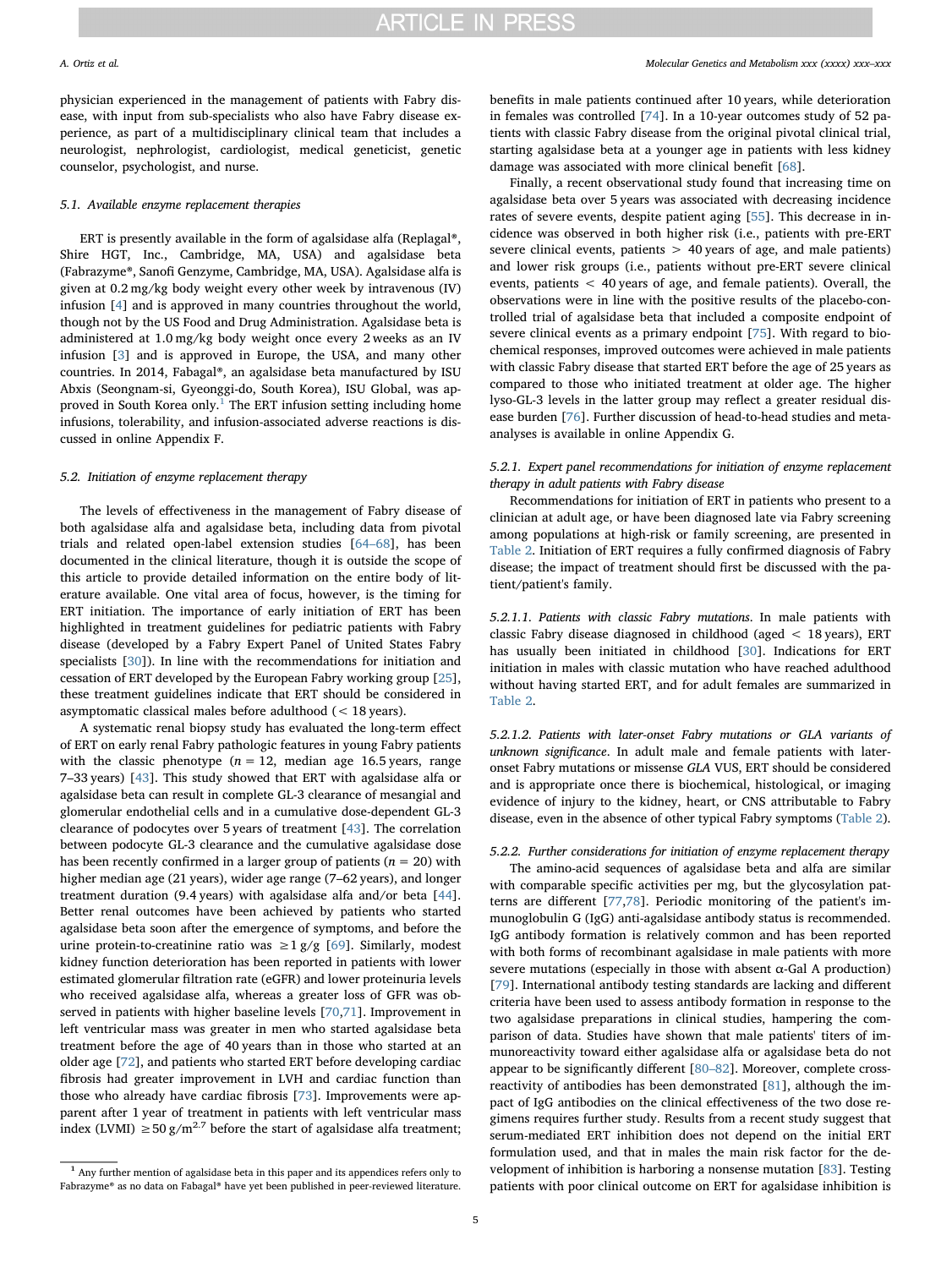physician experienced in the management of patients with Fabry disease, with input from sub-specialists who also have Fabry disease experience, as part of a multidisciplinary clinical team that includes a neurologist, nephrologist, cardiologist, medical geneticist, genetic counselor, psychologist, and nurse.

# 5.1. Available enzyme replacement therapies

ERT is presently available in the form of agalsidase alfa (Replagal®, Shire HGT, Inc., Cambridge, MA, USA) and agalsidase beta (Fabrazyme®, Sanofi Genzyme, Cambridge, MA, USA). Agalsidase alfa is given at 0.2 mg/kg body weight every other week by intravenous (IV) infusion [\[4\]](#page-9-3) and is approved in many countries throughout the world, though not by the US Food and Drug Administration. Agalsidase beta is administered at 1.0 mg/kg body weight once every 2 weeks as an IV infusion [[3](#page-9-2)] and is approved in Europe, the USA, and many other countries. In 2014, Fabagal®, an agalsidase beta manufactured by ISU Abxis (Seongnam-si, Gyeonggi-do, South Korea), ISU Global, was ap-proved in South Korea only.<sup>[1](#page-4-0)</sup> The ERT infusion setting including home infusions, tolerability, and infusion-associated adverse reactions is discussed in online Appendix F.

# 5.2. Initiation of enzyme replacement therapy

The levels of effectiveness in the management of Fabry disease of both agalsidase alfa and agalsidase beta, including data from pivotal trials and related open-label extension studies [\[64](#page-10-12)–68], has been documented in the clinical literature, though it is outside the scope of this article to provide detailed information on the entire body of literature available. One vital area of focus, however, is the timing for ERT initiation. The importance of early initiation of ERT has been highlighted in treatment guidelines for pediatric patients with Fabry disease (developed by a Fabry Expert Panel of United States Fabry specialists [[30\]](#page-9-15)). In line with the recommendations for initiation and cessation of ERT developed by the European Fabry working group [\[25](#page-9-33)], these treatment guidelines indicate that ERT should be considered in asymptomatic classical males before adulthood (< 18 years).

A systematic renal biopsy study has evaluated the long-term effect of ERT on early renal Fabry pathologic features in young Fabry patients with the classic phenotype ( $n = 12$ , median age 16.5 years, range 7–33 years) [[43\]](#page-9-17). This study showed that ERT with agalsidase alfa or agalsidase beta can result in complete GL-3 clearance of mesangial and glomerular endothelial cells and in a cumulative dose-dependent GL-3 clearance of podocytes over 5 years of treatment [[43\]](#page-9-17). The correlation between podocyte GL-3 clearance and the cumulative agalsidase dose has been recently confirmed in a larger group of patients ( $n = 20$ ) with higher median age (21 years), wider age range (7–62 years), and longer treatment duration (9.4 years) with agalsidase alfa and/or beta [\[44](#page-9-18)]. Better renal outcomes have been achieved by patients who started agalsidase beta soon after the emergence of symptoms, and before the urine protein-to-creatinine ratio was  $\geq 1$  g/g [\[69](#page-10-13)]. Similarly, modest kidney function deterioration has been reported in patients with lower estimated glomerular filtration rate (eGFR) and lower proteinuria levels who received agalsidase alfa, whereas a greater loss of GFR was observed in patients with higher baseline levels [[70,](#page-10-14)[71\]](#page-10-15). Improvement in left ventricular mass was greater in men who started agalsidase beta treatment before the age of 40 years than in those who started at an older age [[72\]](#page-10-16), and patients who started ERT before developing cardiac fibrosis had greater improvement in LVH and cardiac function than those who already have cardiac fibrosis [[73\]](#page-10-17). Improvements were apparent after 1 year of treatment in patients with left ventricular mass index (LVMI) ≥50 g/m<sup>2.7</sup> before the start of agalsidase alfa treatment;

benefits in male patients continued after 10 years, while deterioration in females was controlled [[74\]](#page-10-18). In a 10-year outcomes study of 52 patients with classic Fabry disease from the original pivotal clinical trial, starting agalsidase beta at a younger age in patients with less kidney damage was associated with more clinical benefit [[68\]](#page-10-19).

Finally, a recent observational study found that increasing time on agalsidase beta over 5 years was associated with decreasing incidence rates of severe events, despite patient aging [[55\]](#page-10-5). This decrease in incidence was observed in both higher risk (i.e., patients with pre-ERT severe clinical events, patients > 40 years of age, and male patients) and lower risk groups (i.e., patients without pre-ERT severe clinical events, patients < 40 years of age, and female patients). Overall, the observations were in line with the positive results of the placebo-controlled trial of agalsidase beta that included a composite endpoint of severe clinical events as a primary endpoint [[75\]](#page-10-20). With regard to biochemical responses, improved outcomes were achieved in male patients with classic Fabry disease that started ERT before the age of 25 years as compared to those who initiated treatment at older age. The higher lyso-GL-3 levels in the latter group may reflect a greater residual disease burden [[76](#page-10-21)]. Further discussion of head-to-head studies and metaanalyses is available in online Appendix G.

# 5.2.1. Expert panel recommendations for initiation of enzyme replacement therapy in adult patients with Fabry disease

Recommendations for initiation of ERT in patients who present to a clinician at adult age, or have been diagnosed late via Fabry screening among populations at high-risk or family screening, are presented in [Table 2](#page-5-0). Initiation of ERT requires a fully confirmed diagnosis of Fabry disease; the impact of treatment should first be discussed with the patient/patient's family.

5.2.1.1. Patients with classic Fabry mutations. In male patients with classic Fabry disease diagnosed in childhood (aged < 18 years), ERT has usually been initiated in childhood [[30\]](#page-9-15). Indications for ERT initiation in males with classic mutation who have reached adulthood without having started ERT, and for adult females are summarized in [Table 2](#page-5-0).

5.2.1.2. Patients with later-onset Fabry mutations or GLA variants of unknown significance. In adult male and female patients with lateronset Fabry mutations or missense GLA VUS, ERT should be considered and is appropriate once there is biochemical, histological, or imaging evidence of injury to the kidney, heart, or CNS attributable to Fabry disease, even in the absence of other typical Fabry symptoms [\(Table 2](#page-5-0)).

# 5.2.2. Further considerations for initiation of enzyme replacement therapy

The amino-acid sequences of agalsidase beta and alfa are similar with comparable specific activities per mg, but the glycosylation patterns are different [[77,](#page-10-22)[78\]](#page-10-23). Periodic monitoring of the patient's immunoglobulin G (IgG) anti-agalsidase antibody status is recommended. IgG antibody formation is relatively common and has been reported with both forms of recombinant agalsidase in male patients with more severe mutations (especially in those with absent  $\alpha$ -Gal A production) [[79\]](#page-10-24). International antibody testing standards are lacking and different criteria have been used to assess antibody formation in response to the two agalsidase preparations in clinical studies, hampering the comparison of data. Studies have shown that male patients' titers of immunoreactivity toward either agalsidase alfa or agalsidase beta do not appear to be significantly different [80–[82\]](#page-10-25). Moreover, complete crossreactivity of antibodies has been demonstrated [\[81](#page-10-26)], although the impact of IgG antibodies on the clinical effectiveness of the two dose regimens requires further study. Results from a recent study suggest that serum-mediated ERT inhibition does not depend on the initial ERT formulation used, and that in males the main risk factor for the development of inhibition is harboring a nonsense mutation [\[83](#page-10-27)]. Testing patients with poor clinical outcome on ERT for agalsidase inhibition is

<span id="page-4-0"></span><sup>&</sup>lt;sup>1</sup> Any further mention of agalsidase beta in this paper and its appendices refers only to Fabrazyme® as no data on Fabagal® have yet been published in peer-reviewed literature.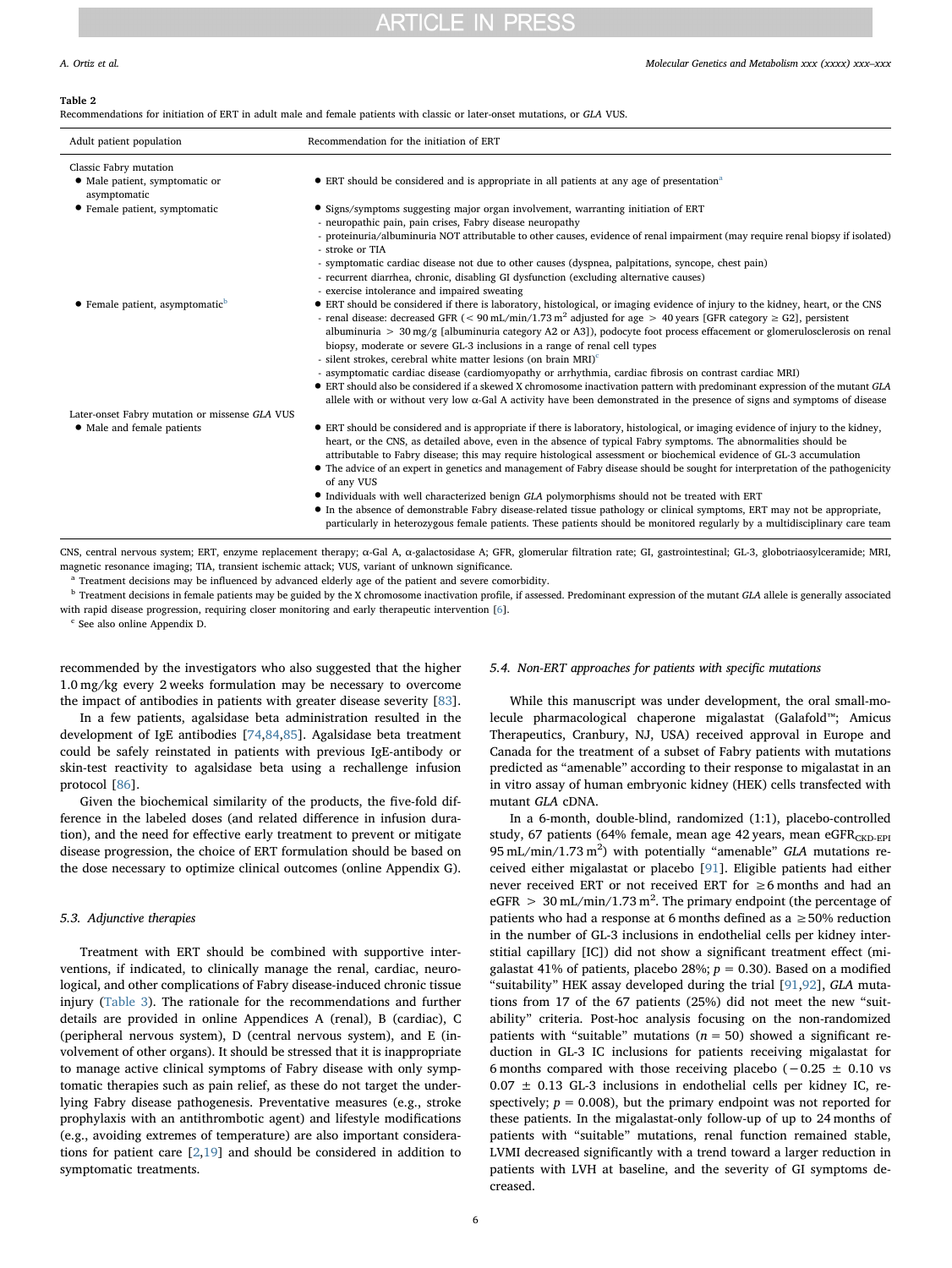### <span id="page-5-0"></span>Table 2

Recommendations for initiation of ERT in adult male and female patients with classic or later-onset mutations, or GLA VUS.

| Adult patient population                            | Recommendation for the initiation of ERT                                                                                                                                                                                                                                                                                                                                                                                                                                                                                                                                                                                                                                                                                                                                                                                                                                                                                                                |
|-----------------------------------------------------|---------------------------------------------------------------------------------------------------------------------------------------------------------------------------------------------------------------------------------------------------------------------------------------------------------------------------------------------------------------------------------------------------------------------------------------------------------------------------------------------------------------------------------------------------------------------------------------------------------------------------------------------------------------------------------------------------------------------------------------------------------------------------------------------------------------------------------------------------------------------------------------------------------------------------------------------------------|
| Classic Fabry mutation                              |                                                                                                                                                                                                                                                                                                                                                                                                                                                                                                                                                                                                                                                                                                                                                                                                                                                                                                                                                         |
| • Male patient, symptomatic or<br>asymptomatic      | • ERT should be considered and is appropriate in all patients at any age of presentation <sup>a</sup>                                                                                                                                                                                                                                                                                                                                                                                                                                                                                                                                                                                                                                                                                                                                                                                                                                                   |
| • Female patient, symptomatic                       | • Signs/symptoms suggesting major organ involvement, warranting initiation of ERT                                                                                                                                                                                                                                                                                                                                                                                                                                                                                                                                                                                                                                                                                                                                                                                                                                                                       |
|                                                     | - neuropathic pain, pain crises, Fabry disease neuropathy                                                                                                                                                                                                                                                                                                                                                                                                                                                                                                                                                                                                                                                                                                                                                                                                                                                                                               |
|                                                     | - proteinuria/albuminuria NOT attributable to other causes, evidence of renal impairment (may require renal biopsy if isolated)<br>- stroke or TIA                                                                                                                                                                                                                                                                                                                                                                                                                                                                                                                                                                                                                                                                                                                                                                                                      |
|                                                     | - symptomatic cardiac disease not due to other causes (dyspnea, palpitations, syncope, chest pain)                                                                                                                                                                                                                                                                                                                                                                                                                                                                                                                                                                                                                                                                                                                                                                                                                                                      |
|                                                     | - recurrent diarrhea, chronic, disabling GI dysfunction (excluding alternative causes)                                                                                                                                                                                                                                                                                                                                                                                                                                                                                                                                                                                                                                                                                                                                                                                                                                                                  |
|                                                     | - exercise intolerance and impaired sweating                                                                                                                                                                                                                                                                                                                                                                                                                                                                                                                                                                                                                                                                                                                                                                                                                                                                                                            |
| $\bullet$ Female patient, asymptomatic <sup>b</sup> | • ERT should be considered if there is laboratory, histological, or imaging evidence of injury to the kidney, heart, or the CNS<br>- renal disease: decreased GFR ( $<$ 90 mL/min/1.73 m <sup>2</sup> adjusted for age $>$ 40 years [GFR category $\geq$ G2], persistent<br>albuminuria $> 30 \text{ mg/g}$ [albuminuria category A2 or A3]), podocyte foot process effacement or glomerulosclerosis on renal<br>biopsy, moderate or severe GL-3 inclusions in a range of renal cell types<br>- silent strokes, cerebral white matter lesions (on brain MRI) <sup>c</sup><br>- asymptomatic cardiac disease (cardiomyopathy or arrhythmia, cardiac fibrosis on contrast cardiac MRI)<br>• ERT should also be considered if a skewed X chromosome inactivation pattern with predominant expression of the mutant GLA<br>allele with or without very low $\alpha$ -Gal A activity have been demonstrated in the presence of signs and symptoms of disease |
| Later-onset Fabry mutation or missense GLA VUS      |                                                                                                                                                                                                                                                                                                                                                                                                                                                                                                                                                                                                                                                                                                                                                                                                                                                                                                                                                         |
| • Male and female patients                          | • ERT should be considered and is appropriate if there is laboratory, histological, or imaging evidence of injury to the kidney,<br>heart, or the CNS, as detailed above, even in the absence of typical Fabry symptoms. The abnormalities should be<br>attributable to Fabry disease; this may require histological assessment or biochemical evidence of GL-3 accumulation<br>• The advice of an expert in genetics and management of Fabry disease should be sought for interpretation of the pathogenicity<br>of any VUS                                                                                                                                                                                                                                                                                                                                                                                                                            |
|                                                     | • Individuals with well characterized benign GLA polymorphisms should not be treated with ERT<br>• In the absence of demonstrable Fabry disease-related tissue pathology or clinical symptoms, ERT may not be appropriate,<br>particularly in heterozygous female patients. These patients should be monitored regularly by a multidisciplinary care team                                                                                                                                                                                                                                                                                                                                                                                                                                                                                                                                                                                               |

CNS, central nervous system; ERT, enzyme replacement therapy; α-Gal A, α-galactosidase A; GFR, glomerular filtration rate; GI, gastrointestinal; GL-3, globotriaosylceramide; MRI, magnetic resonance imaging; TIA, transient ischemic attack; VUS, variant of unknown significance.

<span id="page-5-1"></span>Treatment decisions may be influenced by advanced elderly age of the patient and severe comorbidity.

<span id="page-5-2"></span> $^{\rm b}$  Treatment decisions in female patients may be guided by the X chromosome inactivation profile, if assessed. Predominant expression of the mutant GLA allele is generally associated with rapid disease progression, requiring closer monitoring and early therapeutic intervention [\[6\]](#page-9-5).

<span id="page-5-3"></span><sup>c</sup> See also online Appendix D.

recommended by the investigators who also suggested that the higher 1.0 mg/kg every 2 weeks formulation may be necessary to overcome the impact of antibodies in patients with greater disease severity [\[83](#page-10-27)].

In a few patients, agalsidase beta administration resulted in the development of IgE antibodies [[74,](#page-10-18)[84](#page-10-28)[,85](#page-10-29)]. Agalsidase beta treatment could be safely reinstated in patients with previous IgE-antibody or skin-test reactivity to agalsidase beta using a rechallenge infusion protocol [[86\]](#page-10-30).

Given the biochemical similarity of the products, the five-fold difference in the labeled doses (and related difference in infusion duration), and the need for effective early treatment to prevent or mitigate disease progression, the choice of ERT formulation should be based on the dose necessary to optimize clinical outcomes (online Appendix G).

### 5.3. Adjunctive therapies

Treatment with ERT should be combined with supportive interventions, if indicated, to clinically manage the renal, cardiac, neurological, and other complications of Fabry disease-induced chronic tissue injury [\(Table 3\)](#page-6-0). The rationale for the recommendations and further details are provided in online Appendices A (renal), B (cardiac), C (peripheral nervous system), D (central nervous system), and E (involvement of other organs). It should be stressed that it is inappropriate to manage active clinical symptoms of Fabry disease with only symptomatic therapies such as pain relief, as these do not target the underlying Fabry disease pathogenesis. Preventative measures (e.g., stroke prophylaxis with an antithrombotic agent) and lifestyle modifications (e.g., avoiding extremes of temperature) are also important considerations for patient care  $[2,19]$  $[2,19]$  $[2,19]$  $[2,19]$  and should be considered in addition to symptomatic treatments.

# 5.4. Non-ERT approaches for patients with specific mutations

While this manuscript was under development, the oral small-molecule pharmacological chaperone migalastat (Galafold™; Amicus Therapeutics, Cranbury, NJ, USA) received approval in Europe and Canada for the treatment of a subset of Fabry patients with mutations predicted as "amenable" according to their response to migalastat in an in vitro assay of human embryonic kidney (HEK) cells transfected with mutant GLA cDNA.

In a 6-month, double-blind, randomized (1:1), placebo-controlled study, 67 patients (64% female, mean age 42 years, mean  $eGFR<sub>CKD-EPI</sub>$  $95$  mL/min/1.73 m<sup>2</sup>) with potentially "amenable" GLA mutations received either migalastat or placebo [\[91](#page-10-31)]. Eligible patients had either never received ERT or not received ERT for ≥6 months and had an eGFR  $> 30$  mL/min/1.73 m<sup>2</sup>. The primary endpoint (the percentage of patients who had a response at 6 months defined as a  $\geq$  50% reduction in the number of GL-3 inclusions in endothelial cells per kidney interstitial capillary [IC]) did not show a significant treatment effect (migalastat 41% of patients, placebo 28%;  $p = 0.30$ ). Based on a modified "suitability" HEK assay developed during the trial [[91](#page-10-31)[,92](#page-10-32)], GLA mutations from 17 of the 67 patients (25%) did not meet the new "suitability" criteria. Post-hoc analysis focusing on the non-randomized patients with "suitable" mutations ( $n = 50$ ) showed a significant reduction in GL-3 IC inclusions for patients receiving migalastat for 6 months compared with those receiving placebo ( $-0.25 \pm 0.10$  vs  $0.07 \pm 0.13$  GL-3 inclusions in endothelial cells per kidney IC, respectively;  $p = 0.008$ ), but the primary endpoint was not reported for these patients. In the migalastat-only follow-up of up to 24 months of patients with "suitable" mutations, renal function remained stable, LVMI decreased significantly with a trend toward a larger reduction in patients with LVH at baseline, and the severity of GI symptoms decreased.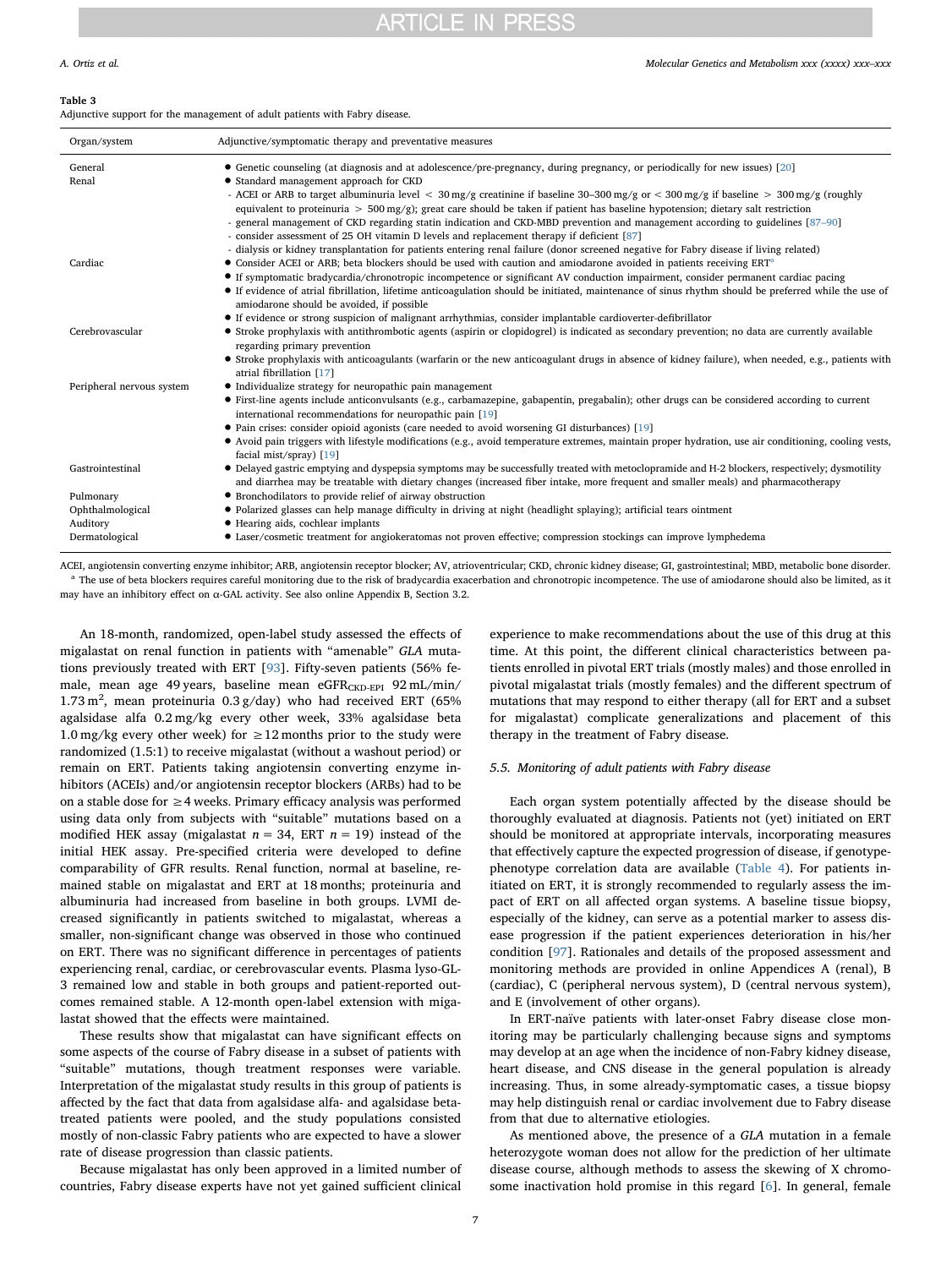### <span id="page-6-0"></span>Table 3

Adjunctive support for the management of adult patients with Fabry disease.

| Organ/system              | Adjunctive/symptomatic therapy and preventative measures                                                                                                                                                                                                                                                                               |  |
|---------------------------|----------------------------------------------------------------------------------------------------------------------------------------------------------------------------------------------------------------------------------------------------------------------------------------------------------------------------------------|--|
| General<br>Renal          | • Genetic counseling (at diagnosis and at adolescence/pre-pregnancy, during pregnancy, or periodically for new issues) [20]<br>• Standard management approach for CKD                                                                                                                                                                  |  |
|                           | - ACEI or ARB to target albuminuria level < 30 mg/g creatinine if baseline 30-300 mg/g or < 300 mg/g if baseline > 300 mg/g (roughly<br>equivalent to proteinuria $> 500 \,\text{mg/g}$ ; great care should be taken if patient has baseline hypotension; dietary salt restriction                                                     |  |
|                           | - general management of CKD regarding statin indication and CKD-MBD prevention and management according to guidelines [87-90]<br>- consider assessment of 25 OH vitamin D levels and replacement therapy if deficient [87]                                                                                                             |  |
| Cardiac                   | - dialysis or kidney transplantation for patients entering renal failure (donor screened negative for Fabry disease if living related)<br>• Consider ACEI or ARB; beta blockers should be used with caution and amiodarone avoided in patients receiving ERT <sup>a</sup>                                                              |  |
|                           | • If symptomatic bradycardia/chronotropic incompetence or significant AV conduction impairment, consider permanent cardiac pacing<br>• If evidence of atrial fibrillation, lifetime anticoagulation should be initiated, maintenance of sinus rhythm should be preferred while the use of<br>amiodarone should be avoided, if possible |  |
|                           | • If evidence or strong suspicion of malignant arrhythmias, consider implantable cardioverter-defibrillator                                                                                                                                                                                                                            |  |
| Cerebrovascular           | • Stroke prophylaxis with antithrombotic agents (aspirin or clopidogrel) is indicated as secondary prevention; no data are currently available<br>regarding primary prevention                                                                                                                                                         |  |
|                           | • Stroke prophylaxis with anticoagulants (warfarin or the new anticoagulant drugs in absence of kidney failure), when needed, e.g., patients with<br>atrial fibrillation [17]                                                                                                                                                          |  |
| Peripheral nervous system | • Individualize strategy for neuropathic pain management                                                                                                                                                                                                                                                                               |  |
|                           | • First-line agents include anticonvulsants (e.g., carbamazepine, gabapentin, pregabalin); other drugs can be considered according to current<br>international recommendations for neuropathic pain [19]                                                                                                                               |  |
|                           | • Pain crises: consider opioid agonists (care needed to avoid worsening GI disturbances) [19]                                                                                                                                                                                                                                          |  |
|                           | • Avoid pain triggers with lifestyle modifications (e.g., avoid temperature extremes, maintain proper hydration, use air conditioning, cooling vests,<br>facial mist/spray) [19]                                                                                                                                                       |  |
| Gastrointestinal          | • Delayed gastric emptying and dyspepsia symptoms may be successfully treated with metoclopramide and H-2 blockers, respectively; dysmotility<br>and diarrhea may be treatable with dietary changes (increased fiber intake, more frequent and smaller meals) and pharmacotherapy                                                      |  |
| Pulmonary                 | • Bronchodilators to provide relief of airway obstruction                                                                                                                                                                                                                                                                              |  |
| Ophthalmological          | • Polarized glasses can help manage difficulty in driving at night (headlight splaying); artificial tears ointment                                                                                                                                                                                                                     |  |
| Auditory                  | • Hearing aids, cochlear implants                                                                                                                                                                                                                                                                                                      |  |
| Dermatological            | • Laser/cosmetic treatment for angiokeratomas not proven effective; compression stockings can improve lymphedema                                                                                                                                                                                                                       |  |

<span id="page-6-1"></span>ACEI, angiotensin converting enzyme inhibitor; ARB, angiotensin receptor blocker; AV, atrioventricular; CKD, chronic kidney disease; GI, gastrointestinal; MBD, metabolic bone disorder. <sup>a</sup> The use of beta blockers requires careful monitoring due to the risk of bradycardia exacerbation and chronotropic incompetence. The use of amiodarone should also be limited, as it may have an inhibitory effect on α-GAL activity. See also online Appendix B, Section 3.2.

An 18-month, randomized, open-label study assessed the effects of migalastat on renal function in patients with "amenable" GLA mutations previously treated with ERT [[93\]](#page-10-33). Fifty-seven patients (56% female, mean age 49 years, baseline mean  $eGFR_{CKD-EPI}$  92 mL/min/ 1.73 m<sup>2</sup>, mean proteinuria 0.3 g/day) who had received ERT (65% agalsidase alfa 0.2 mg/kg every other week, 33% agalsidase beta 1.0 mg/kg every other week) for  $\geq$  12 months prior to the study were randomized (1.5:1) to receive migalastat (without a washout period) or remain on ERT. Patients taking angiotensin converting enzyme inhibitors (ACEIs) and/or angiotensin receptor blockers (ARBs) had to be on a stable dose for ≥4 weeks. Primary efficacy analysis was performed using data only from subjects with "suitable" mutations based on a modified HEK assay (migalastat  $n = 34$ , ERT  $n = 19$ ) instead of the initial HEK assay. Pre-specified criteria were developed to define comparability of GFR results. Renal function, normal at baseline, remained stable on migalastat and ERT at 18 months; proteinuria and albuminuria had increased from baseline in both groups. LVMI decreased significantly in patients switched to migalastat, whereas a smaller, non-significant change was observed in those who continued on ERT. There was no significant difference in percentages of patients experiencing renal, cardiac, or cerebrovascular events. Plasma lyso-GL-3 remained low and stable in both groups and patient-reported outcomes remained stable. A 12-month open-label extension with migalastat showed that the effects were maintained.

These results show that migalastat can have significant effects on some aspects of the course of Fabry disease in a subset of patients with "suitable" mutations, though treatment responses were variable. Interpretation of the migalastat study results in this group of patients is affected by the fact that data from agalsidase alfa- and agalsidase betatreated patients were pooled, and the study populations consisted mostly of non-classic Fabry patients who are expected to have a slower rate of disease progression than classic patients.

Because migalastat has only been approved in a limited number of countries, Fabry disease experts have not yet gained sufficient clinical

experience to make recommendations about the use of this drug at this time. At this point, the different clinical characteristics between patients enrolled in pivotal ERT trials (mostly males) and those enrolled in pivotal migalastat trials (mostly females) and the different spectrum of mutations that may respond to either therapy (all for ERT and a subset for migalastat) complicate generalizations and placement of this therapy in the treatment of Fabry disease.

### 5.5. Monitoring of adult patients with Fabry disease

Each organ system potentially affected by the disease should be thoroughly evaluated at diagnosis. Patients not (yet) initiated on ERT should be monitored at appropriate intervals, incorporating measures that effectively capture the expected progression of disease, if genotypephenotype correlation data are available [\(Table 4](#page-7-0)). For patients initiated on ERT, it is strongly recommended to regularly assess the impact of ERT on all affected organ systems. A baseline tissue biopsy, especially of the kidney, can serve as a potential marker to assess disease progression if the patient experiences deterioration in his/her condition [\[97](#page-10-34)]. Rationales and details of the proposed assessment and monitoring methods are provided in online Appendices A (renal), B (cardiac), C (peripheral nervous system), D (central nervous system), and E (involvement of other organs).

In ERT-naïve patients with later-onset Fabry disease close monitoring may be particularly challenging because signs and symptoms may develop at an age when the incidence of non-Fabry kidney disease, heart disease, and CNS disease in the general population is already increasing. Thus, in some already-symptomatic cases, a tissue biopsy may help distinguish renal or cardiac involvement due to Fabry disease from that due to alternative etiologies.

As mentioned above, the presence of a GLA mutation in a female heterozygote woman does not allow for the prediction of her ultimate disease course, although methods to assess the skewing of X chromosome inactivation hold promise in this regard [\[6\]](#page-9-5). In general, female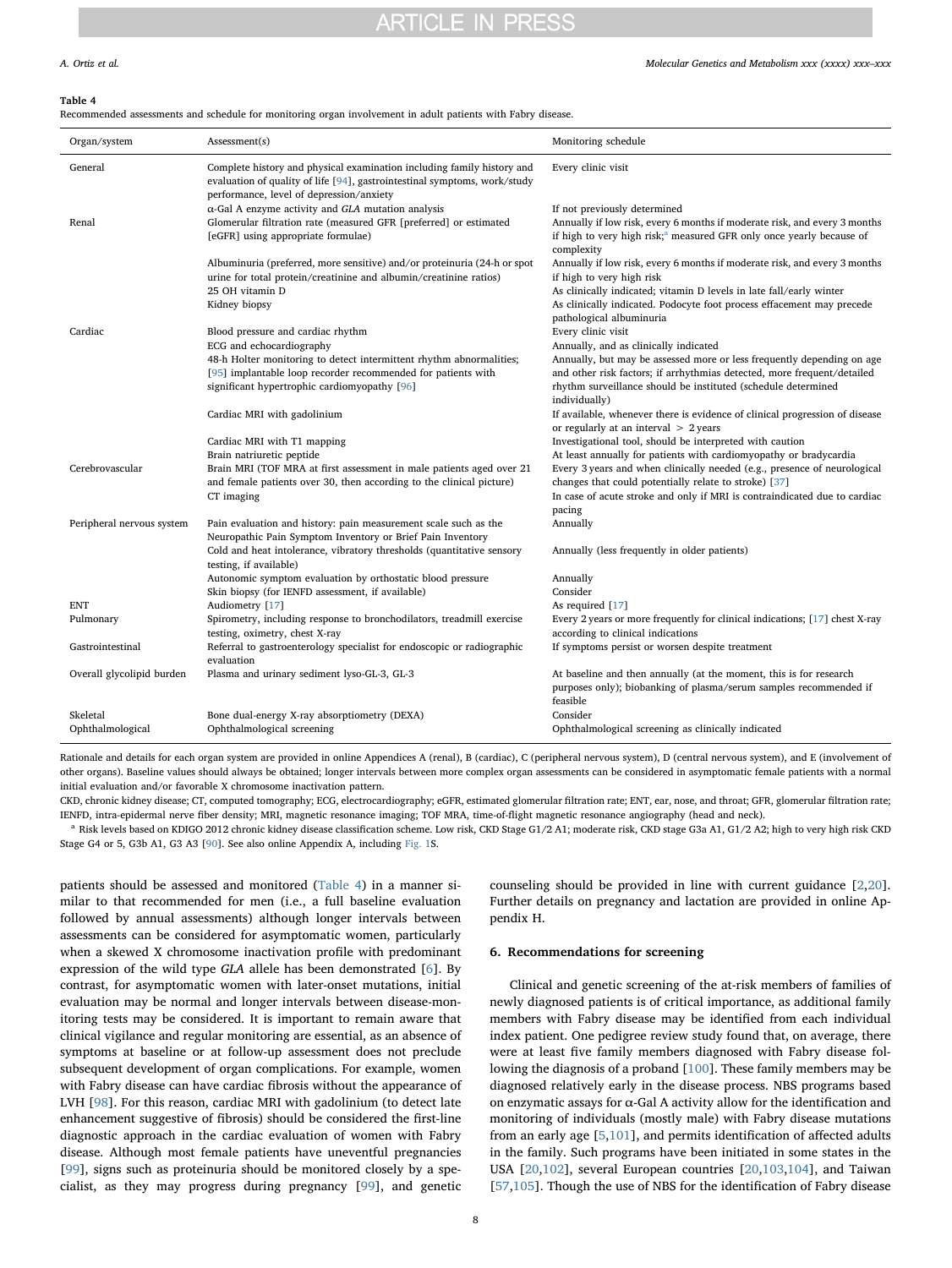### <span id="page-7-0"></span>Table 4

Recommended assessments and schedule for monitoring organ involvement in adult patients with Fabry disease.

| Organ/system              | Assessment(s)                                                                                                                                                                                   | Monitoring schedule                                                                                                                                 |
|---------------------------|-------------------------------------------------------------------------------------------------------------------------------------------------------------------------------------------------|-----------------------------------------------------------------------------------------------------------------------------------------------------|
| General                   | Complete history and physical examination including family history and<br>evaluation of quality of life [94], gastrointestinal symptoms, work/study<br>performance, level of depression/anxiety | Every clinic visit                                                                                                                                  |
|                           | $\alpha$ -Gal A enzyme activity and GLA mutation analysis                                                                                                                                       | If not previously determined                                                                                                                        |
| Renal                     | Glomerular filtration rate (measured GFR [preferred] or estimated                                                                                                                               | Annually if low risk, every 6 months if moderate risk, and every 3 months                                                                           |
|                           | [eGFR] using appropriate formulae)                                                                                                                                                              | if high to very high risk; <sup>a</sup> measured GFR only once yearly because of<br>complexity                                                      |
|                           | Albuminuria (preferred, more sensitive) and/or proteinuria (24-h or spot                                                                                                                        | Annually if low risk, every 6 months if moderate risk, and every 3 months                                                                           |
|                           | urine for total protein/creatinine and albumin/creatinine ratios)                                                                                                                               | if high to very high risk                                                                                                                           |
|                           | 25 OH vitamin D                                                                                                                                                                                 | As clinically indicated; vitamin D levels in late fall/early winter                                                                                 |
|                           | Kidney biopsy                                                                                                                                                                                   | As clinically indicated. Podocyte foot process effacement may precede                                                                               |
|                           |                                                                                                                                                                                                 | pathological albuminuria                                                                                                                            |
| Cardiac                   | Blood pressure and cardiac rhythm                                                                                                                                                               | Every clinic visit                                                                                                                                  |
|                           | ECG and echocardiography                                                                                                                                                                        | Annually, and as clinically indicated                                                                                                               |
|                           | 48-h Holter monitoring to detect intermittent rhythm abnormalities;                                                                                                                             | Annually, but may be assessed more or less frequently depending on age                                                                              |
|                           | [95] implantable loop recorder recommended for patients with                                                                                                                                    | and other risk factors; if arrhythmias detected, more frequent/detailed                                                                             |
|                           | significant hypertrophic cardiomyopathy [96]                                                                                                                                                    | rhythm surveillance should be instituted (schedule determined<br>individually)                                                                      |
|                           | Cardiac MRI with gadolinium                                                                                                                                                                     | If available, whenever there is evidence of clinical progression of disease<br>or regularly at an interval $> 2$ years                              |
|                           | Cardiac MRI with T1 mapping                                                                                                                                                                     | Investigational tool, should be interpreted with caution                                                                                            |
|                           | Brain natriuretic peptide                                                                                                                                                                       | At least annually for patients with cardiomyopathy or bradycardia                                                                                   |
| Cerebrovascular           | Brain MRI (TOF MRA at first assessment in male patients aged over 21                                                                                                                            | Every 3 years and when clinically needed (e.g., presence of neurological                                                                            |
|                           | and female patients over 30, then according to the clinical picture)                                                                                                                            | changes that could potentially relate to stroke) [37]                                                                                               |
|                           | CT imaging                                                                                                                                                                                      | In case of acute stroke and only if MRI is contraindicated due to cardiac<br>pacing                                                                 |
| Peripheral nervous system | Pain evaluation and history: pain measurement scale such as the                                                                                                                                 | Annually                                                                                                                                            |
|                           | Neuropathic Pain Symptom Inventory or Brief Pain Inventory                                                                                                                                      |                                                                                                                                                     |
|                           | Cold and heat intolerance, vibratory thresholds (quantitative sensory<br>testing, if available)                                                                                                 | Annually (less frequently in older patients)                                                                                                        |
|                           | Autonomic symptom evaluation by orthostatic blood pressure                                                                                                                                      | Annually                                                                                                                                            |
|                           | Skin biopsy (for IENFD assessment, if available)                                                                                                                                                | Consider                                                                                                                                            |
| <b>ENT</b>                | Audiometry [17]                                                                                                                                                                                 | As required [17]                                                                                                                                    |
| Pulmonary                 | Spirometry, including response to bronchodilators, treadmill exercise                                                                                                                           | Every 2 years or more frequently for clinical indications; [17] chest X-ray                                                                         |
|                           | testing, oximetry, chest X-ray                                                                                                                                                                  | according to clinical indications                                                                                                                   |
| Gastrointestinal          | Referral to gastroenterology specialist for endoscopic or radiographic<br>evaluation                                                                                                            | If symptoms persist or worsen despite treatment                                                                                                     |
| Overall glycolipid burden | Plasma and urinary sediment lyso-GL-3, GL-3                                                                                                                                                     | At baseline and then annually (at the moment, this is for research<br>purposes only); biobanking of plasma/serum samples recommended if<br>feasible |
| Skeletal                  | Bone dual-energy X-ray absorptiometry (DEXA)                                                                                                                                                    | Consider                                                                                                                                            |
| Ophthalmological          | Ophthalmological screening                                                                                                                                                                      | Ophthalmological screening as clinically indicated                                                                                                  |

Rationale and details for each organ system are provided in online Appendices A (renal), B (cardiac), C (peripheral nervous system), D (central nervous system), and E (involvement of other organs). Baseline values should always be obtained; longer intervals between more complex organ assessments can be considered in asymptomatic female patients with a normal initial evaluation and/or favorable X chromosome inactivation pattern.

CKD, chronic kidney disease; CT, computed tomography; ECG, electrocardiography; eGFR, estimated glomerular filtration rate; ENT, ear, nose, and throat; GFR, glomerular filtration rate; IENFD, intra-epidermal nerve fiber density; MRI, magnetic resonance imaging; TOF MRA, time-of-flight magnetic resonance angiography (head and neck).

<span id="page-7-1"></span><sup>a</sup> Risk levels based on KDIGO 2012 chronic kidney disease classification scheme. Low risk, CKD Stage G1/2 A1; moderate risk, CKD stage G3a A1, G1/2 A2; high to very high risk CKD Stage G4 or 5, G3b A1, G3 A3 [\[90](#page-10-46)]. See also online Appendix A, including [Fig. 1S](#page-3-0).

patients should be assessed and monitored [\(Table 4](#page-7-0)) in a manner similar to that recommended for men (i.e., a full baseline evaluation followed by annual assessments) although longer intervals between assessments can be considered for asymptomatic women, particularly when a skewed X chromosome inactivation profile with predominant expression of the wild type GLA allele has been demonstrated [[6](#page-9-5)]. By contrast, for asymptomatic women with later-onset mutations, initial evaluation may be normal and longer intervals between disease-monitoring tests may be considered. It is important to remain aware that clinical vigilance and regular monitoring are essential, as an absence of symptoms at baseline or at follow-up assessment does not preclude subsequent development of organ complications. For example, women with Fabry disease can have cardiac fibrosis without the appearance of LVH [[98\]](#page-10-36). For this reason, cardiac MRI with gadolinium (to detect late enhancement suggestive of fibrosis) should be considered the first-line diagnostic approach in the cardiac evaluation of women with Fabry disease. Although most female patients have uneventful pregnancies [[99\]](#page-10-37), signs such as proteinuria should be monitored closely by a specialist, as they may progress during pregnancy [[99\]](#page-10-37), and genetic counseling should be provided in line with current guidance [\[2,](#page-9-1)[20](#page-9-34)]. Further details on pregnancy and lactation are provided in online Appendix H.

# 6. Recommendations for screening

Clinical and genetic screening of the at-risk members of families of newly diagnosed patients is of critical importance, as additional family members with Fabry disease may be identified from each individual index patient. One pedigree review study found that, on average, there were at least five family members diagnosed with Fabry disease following the diagnosis of a proband [\[100\]](#page-10-38). These family members may be diagnosed relatively early in the disease process. NBS programs based on enzymatic assays for  $\alpha$ -Gal A activity allow for the identification and monitoring of individuals (mostly male) with Fabry disease mutations from an early age [[5](#page-9-4)[,101\]](#page-10-39), and permits identification of affected adults in the family. Such programs have been initiated in some states in the USA [\[20](#page-9-34),[102](#page-10-40)], several European countries [[20](#page-9-34)[,103,](#page-10-41)[104](#page-10-42)], and Taiwan [[57](#page-10-7)[,105\]](#page-11-0). Though the use of NBS for the identification of Fabry disease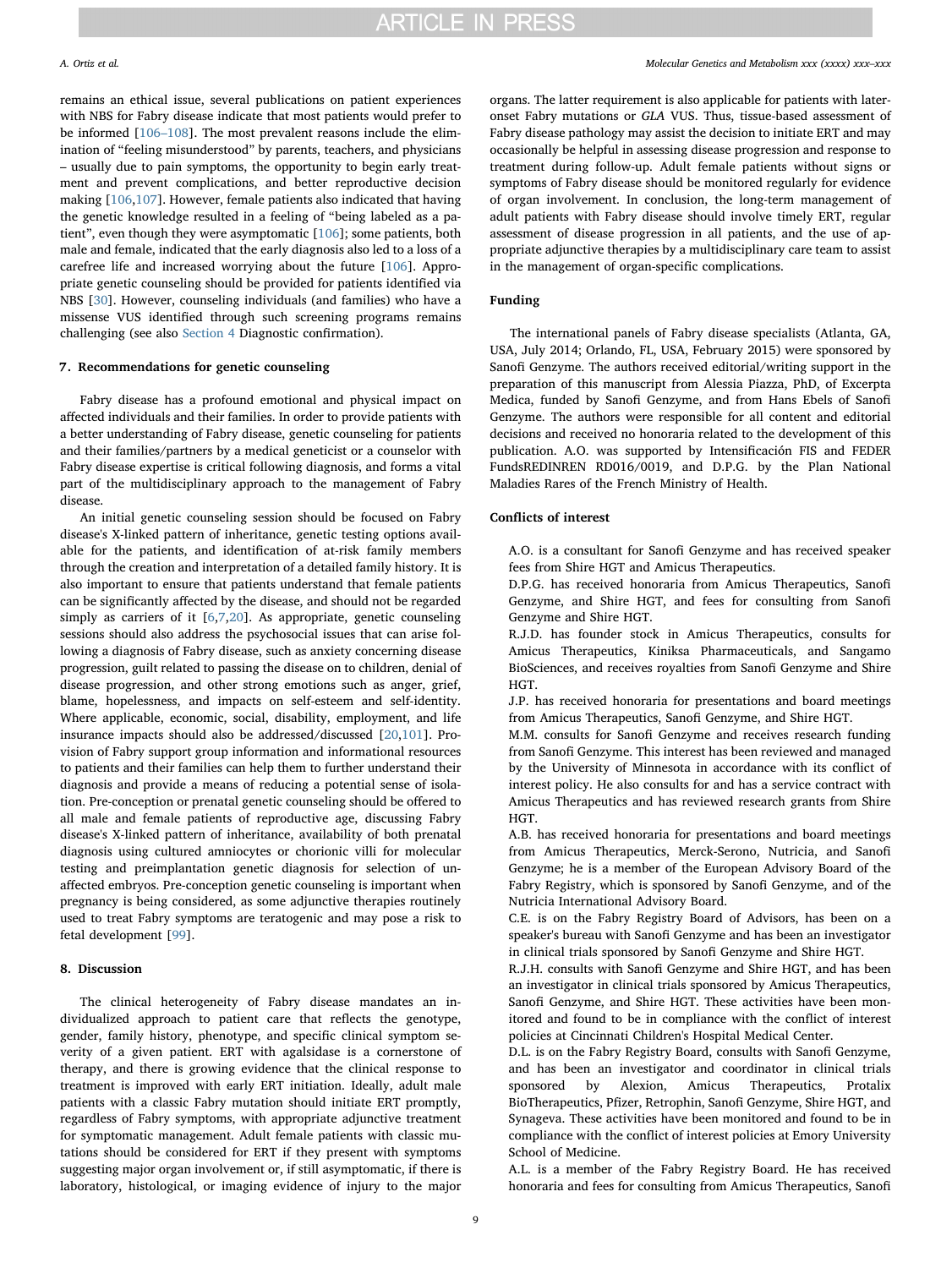remains an ethical issue, several publications on patient experiences with NBS for Fabry disease indicate that most patients would prefer to be informed [\[106](#page-11-1)–108]. The most prevalent reasons include the elimination of "feeling misunderstood" by parents, teachers, and physicians – usually due to pain symptoms, the opportunity to begin early treatment and prevent complications, and better reproductive decision making [\[106,](#page-11-1)[107](#page-11-2)]. However, female patients also indicated that having the genetic knowledge resulted in a feeling of "being labeled as a patient", even though they were asymptomatic [[106](#page-11-1)]; some patients, both male and female, indicated that the early diagnosis also led to a loss of a carefree life and increased worrying about the future [[106](#page-11-1)]. Appropriate genetic counseling should be provided for patients identified via NBS [[30](#page-9-15)]. However, counseling individuals (and families) who have a missense VUS identified through such screening programs remains challenging (see also [Section 4](#page-3-1) Diagnostic confirmation).

## 7. Recommendations for genetic counseling

Fabry disease has a profound emotional and physical impact on affected individuals and their families. In order to provide patients with a better understanding of Fabry disease, genetic counseling for patients and their families/partners by a medical geneticist or a counselor with Fabry disease expertise is critical following diagnosis, and forms a vital part of the multidisciplinary approach to the management of Fabry disease.

An initial genetic counseling session should be focused on Fabry disease's X-linked pattern of inheritance, genetic testing options available for the patients, and identification of at-risk family members through the creation and interpretation of a detailed family history. It is also important to ensure that patients understand that female patients can be significantly affected by the disease, and should not be regarded simply as carriers of it [\[6](#page-9-5),[7](#page-9-6)[,20](#page-9-34)]. As appropriate, genetic counseling sessions should also address the psychosocial issues that can arise following a diagnosis of Fabry disease, such as anxiety concerning disease progression, guilt related to passing the disease on to children, denial of disease progression, and other strong emotions such as anger, grief, blame, hopelessness, and impacts on self-esteem and self-identity. Where applicable, economic, social, disability, employment, and life insurance impacts should also be addressed/discussed [\[20](#page-9-34),[101](#page-10-39)]. Provision of Fabry support group information and informational resources to patients and their families can help them to further understand their diagnosis and provide a means of reducing a potential sense of isolation. Pre-conception or prenatal genetic counseling should be offered to all male and female patients of reproductive age, discussing Fabry disease's X-linked pattern of inheritance, availability of both prenatal diagnosis using cultured amniocytes or chorionic villi for molecular testing and preimplantation genetic diagnosis for selection of unaffected embryos. Pre-conception genetic counseling is important when pregnancy is being considered, as some adjunctive therapies routinely used to treat Fabry symptoms are teratogenic and may pose a risk to fetal development [[99\]](#page-10-37).

# 8. Discussion

The clinical heterogeneity of Fabry disease mandates an individualized approach to patient care that reflects the genotype, gender, family history, phenotype, and specific clinical symptom severity of a given patient. ERT with agalsidase is a cornerstone of therapy, and there is growing evidence that the clinical response to treatment is improved with early ERT initiation. Ideally, adult male patients with a classic Fabry mutation should initiate ERT promptly, regardless of Fabry symptoms, with appropriate adjunctive treatment for symptomatic management. Adult female patients with classic mutations should be considered for ERT if they present with symptoms suggesting major organ involvement or, if still asymptomatic, if there is laboratory, histological, or imaging evidence of injury to the major

organs. The latter requirement is also applicable for patients with lateronset Fabry mutations or GLA VUS. Thus, tissue-based assessment of Fabry disease pathology may assist the decision to initiate ERT and may occasionally be helpful in assessing disease progression and response to treatment during follow-up. Adult female patients without signs or symptoms of Fabry disease should be monitored regularly for evidence of organ involvement. In conclusion, the long-term management of adult patients with Fabry disease should involve timely ERT, regular assessment of disease progression in all patients, and the use of appropriate adjunctive therapies by a multidisciplinary care team to assist in the management of organ-specific complications.

## Funding

The international panels of Fabry disease specialists (Atlanta, GA, USA, July 2014; Orlando, FL, USA, February 2015) were sponsored by Sanofi Genzyme. The authors received editorial/writing support in the preparation of this manuscript from Alessia Piazza, PhD, of Excerpta Medica, funded by Sanofi Genzyme, and from Hans Ebels of Sanofi Genzyme. The authors were responsible for all content and editorial decisions and received no honoraria related to the development of this publication. A.O. was supported by Intensificación FIS and FEDER FundsREDINREN RD016/0019, and D.P.G. by the Plan National Maladies Rares of the French Ministry of Health.

## Conflicts of interest

A.O. is a consultant for Sanofi Genzyme and has received speaker fees from Shire HGT and Amicus Therapeutics.

D.P.G. has received honoraria from Amicus Therapeutics, Sanofi Genzyme, and Shire HGT, and fees for consulting from Sanofi Genzyme and Shire HGT.

R.J.D. has founder stock in Amicus Therapeutics, consults for Amicus Therapeutics, Kiniksa Pharmaceuticals, and Sangamo BioSciences, and receives royalties from Sanofi Genzyme and Shire HGT.

J.P. has received honoraria for presentations and board meetings from Amicus Therapeutics, Sanofi Genzyme, and Shire HGT.

M.M. consults for Sanofi Genzyme and receives research funding from Sanofi Genzyme. This interest has been reviewed and managed by the University of Minnesota in accordance with its conflict of interest policy. He also consults for and has a service contract with Amicus Therapeutics and has reviewed research grants from Shire HGT.

A.B. has received honoraria for presentations and board meetings from Amicus Therapeutics, Merck-Serono, Nutricia, and Sanofi Genzyme; he is a member of the European Advisory Board of the Fabry Registry, which is sponsored by Sanofi Genzyme, and of the Nutricia International Advisory Board.

C.E. is on the Fabry Registry Board of Advisors, has been on a speaker's bureau with Sanofi Genzyme and has been an investigator in clinical trials sponsored by Sanofi Genzyme and Shire HGT.

R.J.H. consults with Sanofi Genzyme and Shire HGT, and has been an investigator in clinical trials sponsored by Amicus Therapeutics, Sanofi Genzyme, and Shire HGT. These activities have been monitored and found to be in compliance with the conflict of interest policies at Cincinnati Children's Hospital Medical Center.

D.L. is on the Fabry Registry Board, consults with Sanofi Genzyme, and has been an investigator and coordinator in clinical trials sponsored by Alexion, Amicus Therapeutics, Protalix BioTherapeutics, Pfizer, Retrophin, Sanofi Genzyme, Shire HGT, and Synageva. These activities have been monitored and found to be in compliance with the conflict of interest policies at Emory University School of Medicine.

A.L. is a member of the Fabry Registry Board. He has received honoraria and fees for consulting from Amicus Therapeutics, Sanofi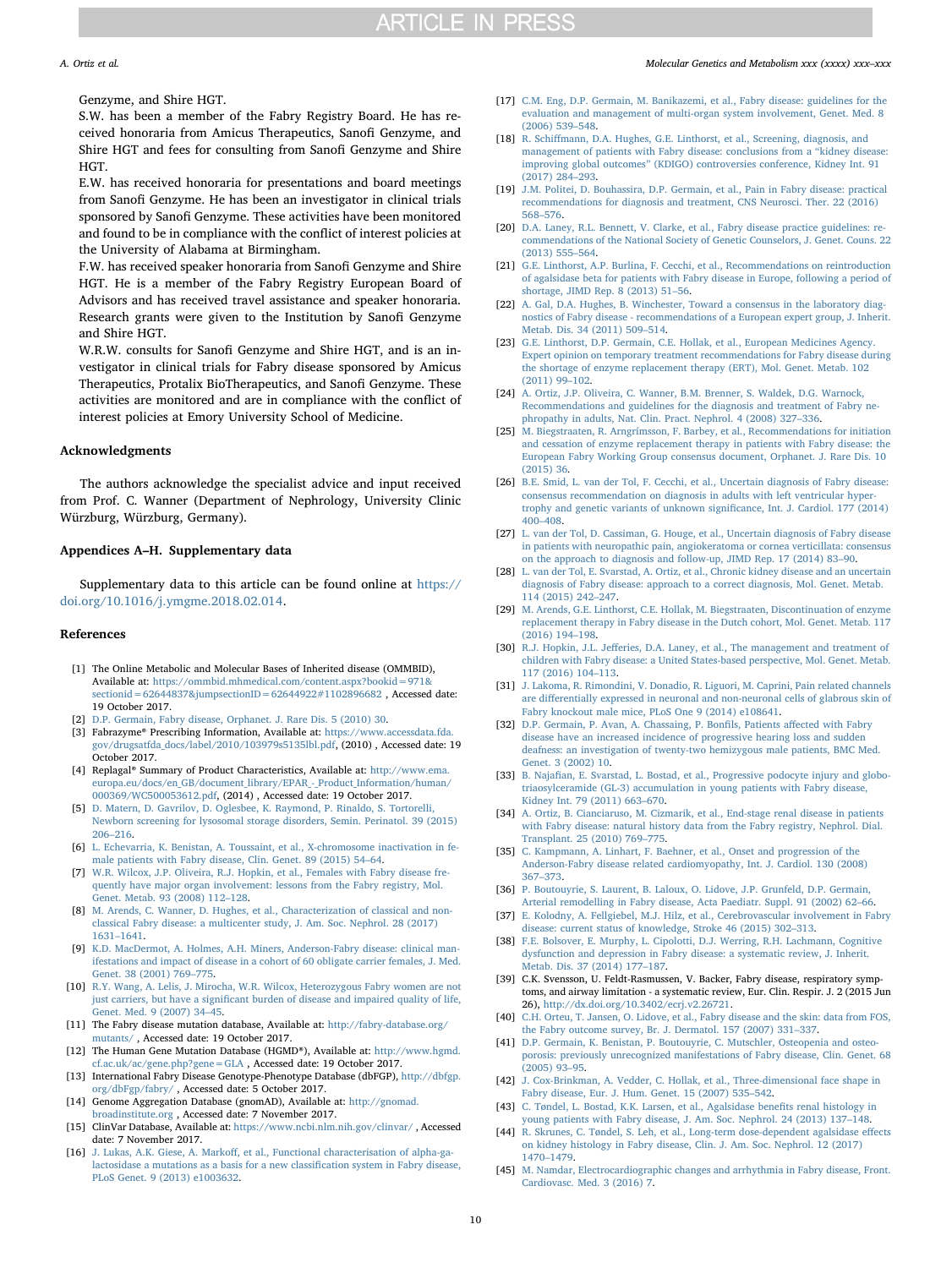Genzyme, and Shire HGT.

S.W. has been a member of the Fabry Registry Board. He has received honoraria from Amicus Therapeutics, Sanofi Genzyme, and Shire HGT and fees for consulting from Sanofi Genzyme and Shire HGT.

E.W. has received honoraria for presentations and board meetings from Sanofi Genzyme. He has been an investigator in clinical trials sponsored by Sanofi Genzyme. These activities have been monitored and found to be in compliance with the conflict of interest policies at the University of Alabama at Birmingham.

F.W. has received speaker honoraria from Sanofi Genzyme and Shire HGT. He is a member of the Fabry Registry European Board of Advisors and has received travel assistance and speaker honoraria. Research grants were given to the Institution by Sanofi Genzyme and Shire HGT.

W.R.W. consults for Sanofi Genzyme and Shire HGT, and is an investigator in clinical trials for Fabry disease sponsored by Amicus Therapeutics, Protalix BioTherapeutics, and Sanofi Genzyme. These activities are monitored and are in compliance with the conflict of interest policies at Emory University School of Medicine.

### Acknowledgments

The authors acknowledge the specialist advice and input received from Prof. C. Wanner (Department of Nephrology, University Clinic Würzburg, Würzburg, Germany).

## Appendices A–H. Supplementary data

Supplementary data to this article can be found online at [https://](https://doi.org/10.1016/j.ymgme.2018.02.014) [doi.org/10.1016/j.ymgme.2018.02.014](https://doi.org/10.1016/j.ymgme.2018.02.014).

## References

- <span id="page-9-0"></span>[1] The Online Metabolic and Molecular Bases of Inherited disease (OMMBID), Available at: [https://ommbid.mhmedical.com/content.aspx?bookid=971&](https://ommbid.mhmedical.com/content.aspx?bookid=971&sectionid=62644837&jumpsectionID=62644922#1102896682) [sectionid=62644837&jumpsectionID=62644922#1102896682](https://ommbid.mhmedical.com/content.aspx?bookid=971&sectionid=62644837&jumpsectionID=62644922#1102896682) , Accessed date: 19 October 2017.
- <span id="page-9-1"></span>[2] [D.P. Germain, Fabry disease, Orphanet. J. Rare Dis. 5 \(2010\) 30.](http://refhub.elsevier.com/S1096-7192(17)30768-0/rf0010)
- <span id="page-9-2"></span>[3] Fabrazyme® Prescribing Information, Available at: [https://www.accessdata.fda.](https://www.accessdata.fda.gov/drugsatfda_docs/label/2010/103979s5135lbl.pdf) [gov/drugsatfda\\_docs/label/2010/103979s5135lbl.pdf,](https://www.accessdata.fda.gov/drugsatfda_docs/label/2010/103979s5135lbl.pdf) (2010) , Accessed date: 19 October 2017.
- <span id="page-9-3"></span>[4] Replagal® Summary of Product Characteristics, Available at: [http://www.ema.](http://www.ema.europa.eu/docs/en_GB/document_library/EPAR_-_Product_Information/human/000369/WC500053612.pdf) [europa.eu/docs/en\\_GB/document\\_library/EPAR\\_-\\_Product\\_Information/human/](http://www.ema.europa.eu/docs/en_GB/document_library/EPAR_-_Product_Information/human/000369/WC500053612.pdf) [000369/WC500053612.pdf,](http://www.ema.europa.eu/docs/en_GB/document_library/EPAR_-_Product_Information/human/000369/WC500053612.pdf) (2014) , Accessed date: 19 October 2017.
- <span id="page-9-4"></span>[5] [D. Matern, D. Gavrilov, D. Oglesbee, K. Raymond, P. Rinaldo, S. Tortorelli,](http://refhub.elsevier.com/S1096-7192(17)30768-0/rf0025) [Newborn screening for lysosomal storage disorders, Semin. Perinatol. 39 \(2015\)](http://refhub.elsevier.com/S1096-7192(17)30768-0/rf0025) 206–[216.](http://refhub.elsevier.com/S1096-7192(17)30768-0/rf0025)
- <span id="page-9-5"></span>[6] [L. Echevarria, K. Benistan, A. Toussaint, et al., X-chromosome inactivation in fe](http://refhub.elsevier.com/S1096-7192(17)30768-0/rf0030)[male patients with Fabry disease, Clin. Genet. 89 \(2015\) 54](http://refhub.elsevier.com/S1096-7192(17)30768-0/rf0030)–64.
- <span id="page-9-6"></span>[7] [W.R. Wilcox, J.P. Oliveira, R.J. Hopkin, et al., Females with Fabry disease fre](http://refhub.elsevier.com/S1096-7192(17)30768-0/rf0035)[quently have major organ involvement: lessons from the Fabry registry, Mol.](http://refhub.elsevier.com/S1096-7192(17)30768-0/rf0035) [Genet. Metab. 93 \(2008\) 112](http://refhub.elsevier.com/S1096-7192(17)30768-0/rf0035)–128.
- [8] [M. Arends, C. Wanner, D. Hughes, et al., Characterization of classical and non](http://refhub.elsevier.com/S1096-7192(17)30768-0/rf0040)[classical Fabry disease: a multicenter study, J. Am. Soc. Nephrol. 28 \(2017\)](http://refhub.elsevier.com/S1096-7192(17)30768-0/rf0040) 1631–[1641.](http://refhub.elsevier.com/S1096-7192(17)30768-0/rf0040)
- <span id="page-9-7"></span>[9] [K.D. MacDermot, A. Holmes, A.H. Miners, Anderson-Fabry disease: clinical man](http://refhub.elsevier.com/S1096-7192(17)30768-0/rf0045)[ifestations and impact of disease in a cohort of 60 obligate carrier females, J. Med.](http://refhub.elsevier.com/S1096-7192(17)30768-0/rf0045) [Genet. 38 \(2001\) 769](http://refhub.elsevier.com/S1096-7192(17)30768-0/rf0045)–775.
- <span id="page-9-8"></span>[10] [R.Y. Wang, A. Lelis, J. Mirocha, W.R. Wilcox, Heterozygous Fabry women are not](http://refhub.elsevier.com/S1096-7192(17)30768-0/rf0050) just carriers, but have a signifi[cant burden of disease and impaired quality of life,](http://refhub.elsevier.com/S1096-7192(17)30768-0/rf0050) [Genet. Med. 9 \(2007\) 34](http://refhub.elsevier.com/S1096-7192(17)30768-0/rf0050)–45.
- <span id="page-9-9"></span>[11] The Fabry disease mutation database, Available at: [http://fabry-database.org/](http://fabry-database.org/mutants) [mutants/](http://fabry-database.org/mutants) , Accessed date: 19 October 2017.
- [12] The Human Gene Mutation Database (HGMD®), Available at: [http://www.hgmd.](http://www.hgmd.cf.ac.uk/ac/gene.php?gene=GLA) [cf.ac.uk/ac/gene.php?gene=GLA](http://www.hgmd.cf.ac.uk/ac/gene.php?gene=GLA) , Accessed date: 19 October 2017.
- [13] International Fabry Disease Genotype-Phenotype Database (dbFGP), [http://dbfgp.](http://dbfgp.org/dbFgp/fabry/) [org/dbFgp/fabry/](http://dbfgp.org/dbFgp/fabry/) , Accessed date: 5 October 2017.
- [14] Genome Aggregation Database (gnomAD), Available at: [http://gnomad.](http://gnomad.broadinstitute.org) [broadinstitute.org](http://gnomad.broadinstitute.org) , Accessed date: 7 November 2017.
- [15] ClinVar Database, Available at: [https://www.ncbi.nlm.nih.gov/clinvar/](https://www.ncbi.nlm.nih.gov/clinvar) , Accessed date: 7 November 2017.
- <span id="page-9-10"></span>[16] J. Lukas, A.K. Giese, A. Markoff[, et al., Functional characterisation of alpha-ga](http://refhub.elsevier.com/S1096-7192(17)30768-0/rf0080)[lactosidase a mutations as a basis for a new classi](http://refhub.elsevier.com/S1096-7192(17)30768-0/rf0080)fication system in Fabry disease, [PLoS Genet. 9 \(2013\) e1003632.](http://refhub.elsevier.com/S1096-7192(17)30768-0/rf0080)

# A. Ortiz et al. *Molecular Genetics and Metabolism xxx (xxxx) xxx–xxx*

- <span id="page-9-11"></span>[17] [C.M. Eng, D.P. Germain, M. Banikazemi, et al., Fabry disease: guidelines for the](http://refhub.elsevier.com/S1096-7192(17)30768-0/rf0085) [evaluation and management of multi-organ system involvement, Genet. Med. 8](http://refhub.elsevier.com/S1096-7192(17)30768-0/rf0085) [\(2006\) 539](http://refhub.elsevier.com/S1096-7192(17)30768-0/rf0085)–548.
- <span id="page-9-12"></span>[18] R. Schiff[mann, D.A. Hughes, G.E. Linthorst, et al., Screening, diagnosis, and](http://refhub.elsevier.com/S1096-7192(17)30768-0/rf0090) [management of patients with Fabry disease: conclusions from a](http://refhub.elsevier.com/S1096-7192(17)30768-0/rf0090) "kidney disease: improving global outcomes" [\(KDIGO\) controversies conference, Kidney Int. 91](http://refhub.elsevier.com/S1096-7192(17)30768-0/rf0090) [\(2017\) 284](http://refhub.elsevier.com/S1096-7192(17)30768-0/rf0090)–293.
- <span id="page-9-13"></span>[19] [J.M. Politei, D. Bouhassira, D.P. Germain, et al., Pain in Fabry disease: practical](http://refhub.elsevier.com/S1096-7192(17)30768-0/rf0095) [recommendations for diagnosis and treatment, CNS Neurosci. Ther. 22 \(2016\)](http://refhub.elsevier.com/S1096-7192(17)30768-0/rf0095) 568–[576.](http://refhub.elsevier.com/S1096-7192(17)30768-0/rf0095)
- <span id="page-9-34"></span>[20] [D.A. Laney, R.L. Bennett, V. Clarke, et al., Fabry disease practice guidelines: re](http://refhub.elsevier.com/S1096-7192(17)30768-0/rf0100)[commendations of the National Society of Genetic Counselors, J. Genet. Couns. 22](http://refhub.elsevier.com/S1096-7192(17)30768-0/rf0100) [\(2013\) 555](http://refhub.elsevier.com/S1096-7192(17)30768-0/rf0100)–564.
- [21] [G.E. Linthorst, A.P. Burlina, F. Cecchi, et al., Recommendations on reintroduction](http://refhub.elsevier.com/S1096-7192(17)30768-0/rf0105) [of agalsidase beta for patients with Fabry disease in Europe, following a period of](http://refhub.elsevier.com/S1096-7192(17)30768-0/rf0105) [shortage, JIMD Rep. 8 \(2013\) 51](http://refhub.elsevier.com/S1096-7192(17)30768-0/rf0105)–56.
- [22] [A. Gal, D.A. Hughes, B. Winchester, Toward a consensus in the laboratory diag](http://refhub.elsevier.com/S1096-7192(17)30768-0/rf0110)[nostics of Fabry disease - recommendations of a European expert group, J. Inherit.](http://refhub.elsevier.com/S1096-7192(17)30768-0/rf0110) [Metab. Dis. 34 \(2011\) 509](http://refhub.elsevier.com/S1096-7192(17)30768-0/rf0110)–514.
- [23] [G.E. Linthorst, D.P. Germain, C.E. Hollak, et al., European Medicines Agency.](http://refhub.elsevier.com/S1096-7192(17)30768-0/rf0115) [Expert opinion on temporary treatment recommendations for Fabry disease during](http://refhub.elsevier.com/S1096-7192(17)30768-0/rf0115) [the shortage of enzyme replacement therapy \(ERT\), Mol. Genet. Metab. 102](http://refhub.elsevier.com/S1096-7192(17)30768-0/rf0115) [\(2011\) 99](http://refhub.elsevier.com/S1096-7192(17)30768-0/rf0115)–102.
- [24] [A. Ortiz, J.P. Oliveira, C. Wanner, B.M. Brenner, S. Waldek, D.G. Warnock,](http://refhub.elsevier.com/S1096-7192(17)30768-0/rf0120) [Recommendations and guidelines for the diagnosis and treatment of Fabry ne](http://refhub.elsevier.com/S1096-7192(17)30768-0/rf0120)[phropathy in adults, Nat. Clin. Pract. Nephrol. 4 \(2008\) 327](http://refhub.elsevier.com/S1096-7192(17)30768-0/rf0120)–336.
- <span id="page-9-33"></span>[25] [M. Biegstraaten, R. Arngrímsson, F. Barbey, et al., Recommendations for initiation](http://refhub.elsevier.com/S1096-7192(17)30768-0/rf0125) [and cessation of enzyme replacement therapy in patients with Fabry disease: the](http://refhub.elsevier.com/S1096-7192(17)30768-0/rf0125) [European Fabry Working Group consensus document, Orphanet. J. Rare Dis. 10](http://refhub.elsevier.com/S1096-7192(17)30768-0/rf0125) [\(2015\) 36.](http://refhub.elsevier.com/S1096-7192(17)30768-0/rf0125)
- <span id="page-9-31"></span>[26] [B.E. Smid, L. van der Tol, F. Cecchi, et al., Uncertain diagnosis of Fabry disease:](http://refhub.elsevier.com/S1096-7192(17)30768-0/rf0130) [consensus recommendation on diagnosis in adults with left ventricular hyper](http://refhub.elsevier.com/S1096-7192(17)30768-0/rf0130)[trophy and genetic variants of unknown signi](http://refhub.elsevier.com/S1096-7192(17)30768-0/rf0130)ficance, Int. J. Cardiol. 177 (2014) 400–[408.](http://refhub.elsevier.com/S1096-7192(17)30768-0/rf0130)
- <span id="page-9-32"></span>[27] [L. van der Tol, D. Cassiman, G. Houge, et al., Uncertain diagnosis of Fabry disease](http://refhub.elsevier.com/S1096-7192(17)30768-0/rf0135) [in patients with neuropathic pain, angiokeratoma or cornea verticillata: consensus](http://refhub.elsevier.com/S1096-7192(17)30768-0/rf0135) [on the approach to diagnosis and follow-up, JIMD Rep. 17 \(2014\) 83](http://refhub.elsevier.com/S1096-7192(17)30768-0/rf0135)–90.
- [28] [L. van der Tol, E. Svarstad, A. Ortiz, et al., Chronic kidney disease and an uncertain](http://refhub.elsevier.com/S1096-7192(17)30768-0/rf0140) [diagnosis of Fabry disease: approach to a correct diagnosis, Mol. Genet. Metab.](http://refhub.elsevier.com/S1096-7192(17)30768-0/rf0140) [114 \(2015\) 242](http://refhub.elsevier.com/S1096-7192(17)30768-0/rf0140)–247.
- <span id="page-9-14"></span>[29] [M. Arends, G.E. Linthorst, C.E. Hollak, M. Biegstraaten, Discontinuation of enzyme](http://refhub.elsevier.com/S1096-7192(17)30768-0/rf0145) [replacement therapy in Fabry disease in the Dutch cohort, Mol. Genet. Metab. 117](http://refhub.elsevier.com/S1096-7192(17)30768-0/rf0145) [\(2016\) 194](http://refhub.elsevier.com/S1096-7192(17)30768-0/rf0145)–198.
- <span id="page-9-15"></span>[30] R.J. Hopkin, J.L. Jeff[eries, D.A. Laney, et al., The management and treatment of](http://refhub.elsevier.com/S1096-7192(17)30768-0/rf0150) [children with Fabry disease: a United States-based perspective, Mol. Genet. Metab.](http://refhub.elsevier.com/S1096-7192(17)30768-0/rf0150) [117 \(2016\) 104](http://refhub.elsevier.com/S1096-7192(17)30768-0/rf0150)–113.
- <span id="page-9-23"></span>[31] J. [Lakoma, R. Rimondini, V. Donadio, R. Liguori, M. Caprini, Pain related channels](http://refhub.elsevier.com/S1096-7192(17)30768-0/rf0155) are diff[erentially expressed in neuronal and non-neuronal cells of glabrous skin of](http://refhub.elsevier.com/S1096-7192(17)30768-0/rf0155) [Fabry knockout male mice, PLoS One 9 \(2014\) e108641.](http://refhub.elsevier.com/S1096-7192(17)30768-0/rf0155)
- <span id="page-9-19"></span>[32] [D.P. Germain, P. Avan, A. Chassaing, P. Bon](http://refhub.elsevier.com/S1096-7192(17)30768-0/rf0160)fils, Patients affected with Fabry [disease have an increased incidence of progressive hearing loss and sudden](http://refhub.elsevier.com/S1096-7192(17)30768-0/rf0160) [deafness: an investigation of twenty-two hemizygous male patients, BMC Med.](http://refhub.elsevier.com/S1096-7192(17)30768-0/rf0160) [Genet. 3 \(2002\) 10.](http://refhub.elsevier.com/S1096-7192(17)30768-0/rf0160)
- <span id="page-9-16"></span>[33] B. Najafi[an, E. Svarstad, L. Bostad, et al., Progressive podocyte injury and globo](http://refhub.elsevier.com/S1096-7192(17)30768-0/rf0165)[triaosylceramide \(GL-3\) accumulation in young patients with Fabry disease,](http://refhub.elsevier.com/S1096-7192(17)30768-0/rf0165) [Kidney Int. 79 \(2011\) 663](http://refhub.elsevier.com/S1096-7192(17)30768-0/rf0165)–670.
- <span id="page-9-22"></span>[34] [A. Ortiz, B. Cianciaruso, M. Cizmarik, et al., End-stage renal disease in patients](http://refhub.elsevier.com/S1096-7192(17)30768-0/rf0170) [with Fabry disease: natural history data from the Fabry registry, Nephrol. Dial.](http://refhub.elsevier.com/S1096-7192(17)30768-0/rf0170) [Transplant. 25 \(2010\) 769](http://refhub.elsevier.com/S1096-7192(17)30768-0/rf0170)–775.
- <span id="page-9-24"></span>[35] [C. Kampmann, A. Linhart, F. Baehner, et al., Onset and progression of the](http://refhub.elsevier.com/S1096-7192(17)30768-0/rf0175) [Anderson-Fabry disease related cardiomyopathy, Int. J. Cardiol. 130 \(2008\)](http://refhub.elsevier.com/S1096-7192(17)30768-0/rf0175) 367–[373.](http://refhub.elsevier.com/S1096-7192(17)30768-0/rf0175)
- <span id="page-9-25"></span>[36] [P. Boutouyrie, S. Laurent, B. Laloux, O. Lidove, J.P. Grunfeld, D.P. Germain,](http://refhub.elsevier.com/S1096-7192(17)30768-0/rf0180) [Arterial remodelling in Fabry disease, Acta Paediatr. Suppl. 91 \(2002\) 62](http://refhub.elsevier.com/S1096-7192(17)30768-0/rf0180)–66.
- <span id="page-9-26"></span>[37] [E. Kolodny, A. Fellgiebel, M.J. Hilz, et al., Cerebrovascular involvement in Fabry](http://refhub.elsevier.com/S1096-7192(17)30768-0/rf0185) [disease: current status of knowledge, Stroke 46 \(2015\) 302](http://refhub.elsevier.com/S1096-7192(17)30768-0/rf0185)–313.
- <span id="page-9-27"></span>[38] [F.E. Bolsover, E. Murphy, L. Cipolotti, D.J. Werring, R.H. Lachmann, Cognitive](http://refhub.elsevier.com/S1096-7192(17)30768-0/rf0190) [dysfunction and depression in Fabry disease: a systematic review, J. Inherit.](http://refhub.elsevier.com/S1096-7192(17)30768-0/rf0190) [Metab. Dis. 37 \(2014\) 177](http://refhub.elsevier.com/S1096-7192(17)30768-0/rf0190)–187.
- <span id="page-9-21"></span>[39] C.K. Svensson, U. Feldt-Rasmussen, V. Backer, Fabry disease, respiratory symptoms, and airway limitation - a systematic review, Eur. Clin. Respir. J. 2 (2015 Jun 26), [http://dx.doi.org/10.3402/ecrj.v2.26721.](http://dx.doi.org/10.3402/ecrj.v2.26721)
- <span id="page-9-28"></span>[40] [C.H. Orteu, T. Jansen, O. Lidove, et al., Fabry disease and the skin: data from FOS,](http://refhub.elsevier.com/S1096-7192(17)30768-0/rf0200) [the Fabry outcome survey, Br. J. Dermatol. 157 \(2007\) 331](http://refhub.elsevier.com/S1096-7192(17)30768-0/rf0200)–337.
- <span id="page-9-29"></span>[41] [D.P. Germain, K. Benistan, P. Boutouyrie, C. Mutschler, Osteopenia and osteo](http://refhub.elsevier.com/S1096-7192(17)30768-0/rf0205)[porosis: previously unrecognized manifestations of Fabry disease, Clin. Genet. 68](http://refhub.elsevier.com/S1096-7192(17)30768-0/rf0205) [\(2005\) 93](http://refhub.elsevier.com/S1096-7192(17)30768-0/rf0205)–95.
- <span id="page-9-30"></span>[42] [J. Cox-Brinkman, A. Vedder, C. Hollak, et al., Three-dimensional face shape in](http://refhub.elsevier.com/S1096-7192(17)30768-0/rf0210) [Fabry disease, Eur. J. Hum. Genet. 15 \(2007\) 535](http://refhub.elsevier.com/S1096-7192(17)30768-0/rf0210)–542.
- <span id="page-9-17"></span>[43] [C. Tøndel, L. Bostad, K.K. Larsen, et al., Agalsidase bene](http://refhub.elsevier.com/S1096-7192(17)30768-0/rf0215)fits renal histology in [young patients with Fabry disease, J. Am. Soc. Nephrol. 24 \(2013\) 137](http://refhub.elsevier.com/S1096-7192(17)30768-0/rf0215)–148.
- <span id="page-9-18"></span>[44] [R. Skrunes, C. Tøndel, S. Leh, et al., Long-term dose-dependent agalsidase e](http://refhub.elsevier.com/S1096-7192(17)30768-0/rf0220)ffects [on kidney histology in Fabry disease, Clin. J. Am. Soc. Nephrol. 12 \(2017\)](http://refhub.elsevier.com/S1096-7192(17)30768-0/rf0220) 1470–[1479.](http://refhub.elsevier.com/S1096-7192(17)30768-0/rf0220)
- <span id="page-9-20"></span>[45] M. [Namdar, Electrocardiographic changes and arrhythmia in Fabry disease, Front.](http://refhub.elsevier.com/S1096-7192(17)30768-0/rf0225) [Cardiovasc. Med. 3 \(2016\) 7.](http://refhub.elsevier.com/S1096-7192(17)30768-0/rf0225)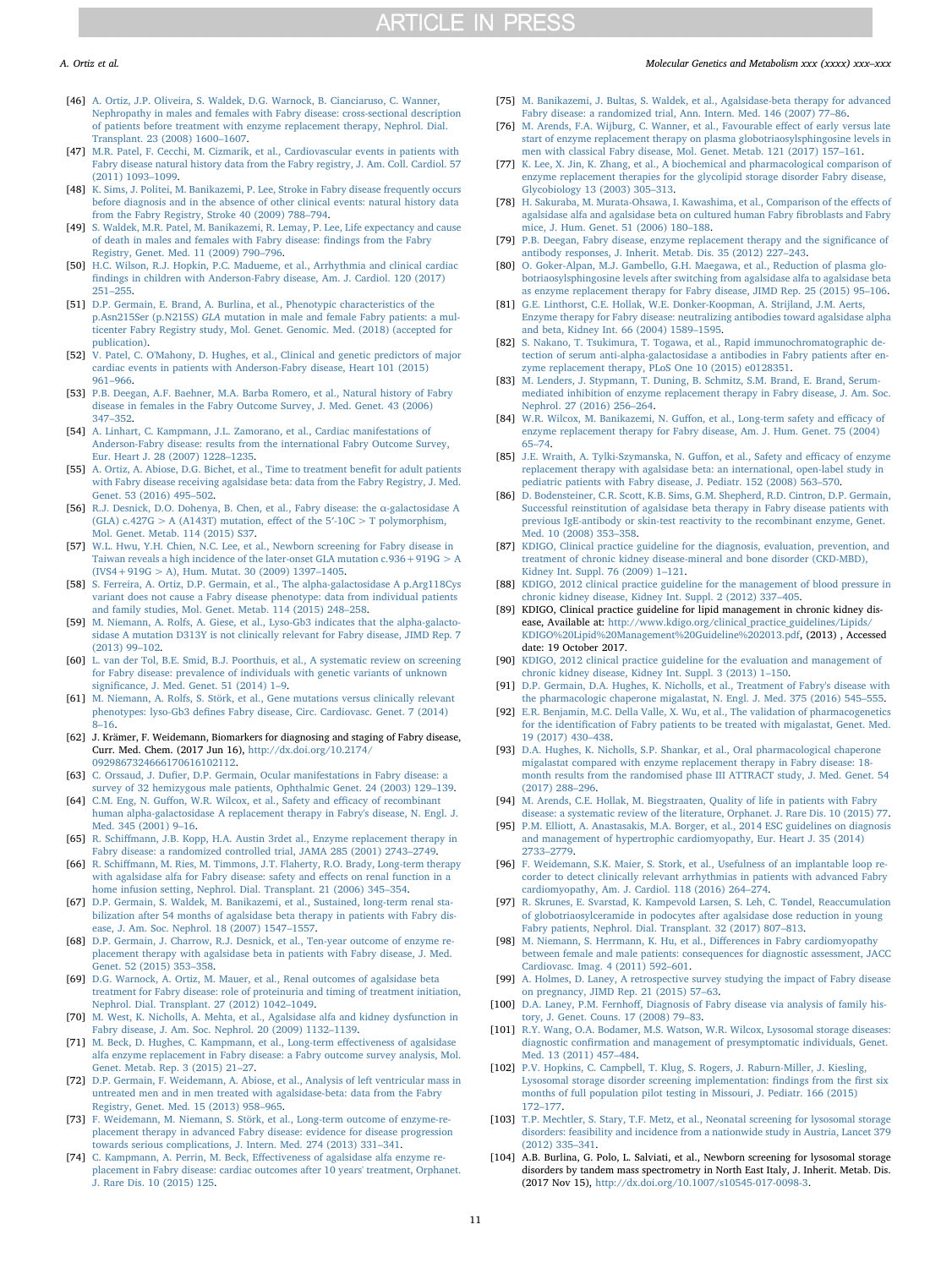- <span id="page-10-4"></span>[46] [A. Ortiz, J.P. Oliveira, S. Waldek, D.G. Warnock, B. Cianciaruso, C. Wanner,](http://refhub.elsevier.com/S1096-7192(17)30768-0/rf0230) [Nephropathy in males and females with Fabry disease: cross-sectional description](http://refhub.elsevier.com/S1096-7192(17)30768-0/rf0230) [of patients before treatment with enzyme replacement therapy, Nephrol. Dial.](http://refhub.elsevier.com/S1096-7192(17)30768-0/rf0230) [Transplant. 23 \(2008\) 1600](http://refhub.elsevier.com/S1096-7192(17)30768-0/rf0230)–1607.
- [47] [M.R. Patel, F. Cecchi, M. Cizmarik, et al., Cardiovascular events in patients with](http://refhub.elsevier.com/S1096-7192(17)30768-0/rf0235) [Fabry disease natural history data from the Fabry registry, J. Am. Coll. Cardiol. 57](http://refhub.elsevier.com/S1096-7192(17)30768-0/rf0235) [\(2011\) 1093](http://refhub.elsevier.com/S1096-7192(17)30768-0/rf0235)–1099.
- [48] [K. Sims, J. Politei, M. Banikazemi, P. Lee, Stroke in Fabry disease frequently occurs](http://refhub.elsevier.com/S1096-7192(17)30768-0/rf0240) [before diagnosis and in the absence of other clinical events: natural history data](http://refhub.elsevier.com/S1096-7192(17)30768-0/rf0240) [from the Fabry Registry, Stroke 40 \(2009\) 788](http://refhub.elsevier.com/S1096-7192(17)30768-0/rf0240)–794.
- [49] [S. Waldek, M.R. Patel, M. Banikazemi, R. Lemay, P. Lee, Life expectancy and cause](http://refhub.elsevier.com/S1096-7192(17)30768-0/rf0245) [of death in males and females with Fabry disease:](http://refhub.elsevier.com/S1096-7192(17)30768-0/rf0245) findings from the Fabry [Registry, Genet. Med. 11 \(2009\) 790](http://refhub.elsevier.com/S1096-7192(17)30768-0/rf0245)–796.
- [50] [H.C. Wilson, R.J. Hopkin, P.C. Madueme, et al., Arrhythmia and clinical cardiac](http://refhub.elsevier.com/S1096-7192(17)30768-0/rf0250) fi[ndings in children with Anderson-Fabry disease, Am. J. Cardiol. 120 \(2017\)](http://refhub.elsevier.com/S1096-7192(17)30768-0/rf0250) 251–[255.](http://refhub.elsevier.com/S1096-7192(17)30768-0/rf0250)
- <span id="page-10-0"></span>[51] [D.P. Germain, E. Brand, A. Burlina, et al., Phenotypic characteristics of the](http://refhub.elsevier.com/S1096-7192(17)30768-0/rf0255) p.Asn215Ser (p.N215S) GLA [mutation in male and female Fabry patients: a mul](http://refhub.elsevier.com/S1096-7192(17)30768-0/rf0255)[ticenter Fabry Registry study, Mol. Genet. Genomic. Med. \(2018\) \(accepted for](http://refhub.elsevier.com/S1096-7192(17)30768-0/rf0255) [publication\).](http://refhub.elsevier.com/S1096-7192(17)30768-0/rf0255)
- <span id="page-10-1"></span>[52] [V. Patel, C. O'Mahony, D. Hughes, et al., Clinical and genetic predictors of major](http://refhub.elsevier.com/S1096-7192(17)30768-0/rf0260) [cardiac events in patients with Anderson-Fabry disease, Heart 101 \(2015\)](http://refhub.elsevier.com/S1096-7192(17)30768-0/rf0260) 961–[966.](http://refhub.elsevier.com/S1096-7192(17)30768-0/rf0260)
- <span id="page-10-2"></span>[53] [P.B. Deegan, A.F. Baehner, M.A. Barba Romero, et al., Natural history of Fabry](http://refhub.elsevier.com/S1096-7192(17)30768-0/rf0265) [disease in females in the Fabry Outcome Survey, J. Med. Genet. 43 \(2006\)](http://refhub.elsevier.com/S1096-7192(17)30768-0/rf0265) 347–[352.](http://refhub.elsevier.com/S1096-7192(17)30768-0/rf0265)
- <span id="page-10-3"></span>[54] [A. Linhart, C. Kampmann, J.L. Zamorano, et al., Cardiac manifestations of](http://refhub.elsevier.com/S1096-7192(17)30768-0/rf0270) [Anderson-Fabry disease: results from the international Fabry Outcome Survey,](http://refhub.elsevier.com/S1096-7192(17)30768-0/rf0270) [Eur. Heart J. 28 \(2007\) 1228](http://refhub.elsevier.com/S1096-7192(17)30768-0/rf0270)–1235.
- <span id="page-10-5"></span>[55] [A. Ortiz, A. Abiose, D.G. Bichet, et al., Time to treatment bene](http://refhub.elsevier.com/S1096-7192(17)30768-0/rf0275)fit for adult patients [with Fabry disease receiving agalsidase beta: data from the Fabry Registry, J. Med.](http://refhub.elsevier.com/S1096-7192(17)30768-0/rf0275) [Genet. 53 \(2016\) 495](http://refhub.elsevier.com/S1096-7192(17)30768-0/rf0275)–502.
- <span id="page-10-6"></span>[56] [R.J. Desnick, D.O. Dohenya, B. Chen, et al., Fabry disease: the](http://refhub.elsevier.com/S1096-7192(17)30768-0/rf0280) α-galactosidase A [\(GLA\) c.427G > A \(A143T\) mutation, e](http://refhub.elsevier.com/S1096-7192(17)30768-0/rf0280)ffect of the  $5'$ -10C > T polymorphism, [Mol. Genet. Metab. 114 \(2015\) S37.](http://refhub.elsevier.com/S1096-7192(17)30768-0/rf0280)
- <span id="page-10-7"></span>[57] [W.L. Hwu, Y.H. Chien, N.C. Lee, et al., Newborn screening for Fabry disease in](http://refhub.elsevier.com/S1096-7192(17)30768-0/rf0285) Taiwan reveals a high incidence of the later-onset GLA mutation  $c.936 + 919G > A$  $(IVS4 + 919G > A)$ , Hum. Mutat. 30 (2009) 1397-1405.
- [58] [S. Ferreira, A. Ortiz, D.P. Germain, et al., The alpha-galactosidase A p.Arg118Cys](http://refhub.elsevier.com/S1096-7192(17)30768-0/rf0290) [variant does not cause a Fabry disease phenotype: data from individual patients](http://refhub.elsevier.com/S1096-7192(17)30768-0/rf0290) [and family studies, Mol. Genet. Metab. 114 \(2015\) 248](http://refhub.elsevier.com/S1096-7192(17)30768-0/rf0290)–258.
- [59] [M. Niemann, A. Rolfs, A. Giese, et al., Lyso-Gb3 indicates that the alpha-galacto](http://refhub.elsevier.com/S1096-7192(17)30768-0/rf0295)sidase [A mutation D313Y is not clinically relevant for Fabry disease, JIMD Rep. 7](http://refhub.elsevier.com/S1096-7192(17)30768-0/rf0295) [\(2013\) 99](http://refhub.elsevier.com/S1096-7192(17)30768-0/rf0295)–102.
- <span id="page-10-8"></span>[60] [L. van der Tol, B.E. Smid, B.J. Poorthuis, et al., A systematic review on screening](http://refhub.elsevier.com/S1096-7192(17)30768-0/rf0300) [for Fabry disease: prevalence of individuals with genetic variants of unknown](http://refhub.elsevier.com/S1096-7192(17)30768-0/rf0300) signifi[cance, J. Med. Genet. 51 \(2014\) 1](http://refhub.elsevier.com/S1096-7192(17)30768-0/rf0300)–9.
- <span id="page-10-9"></span>[61] [M. Niemann, A. Rolfs, S. Störk, et al., Gene mutations versus clinically relevant](http://refhub.elsevier.com/S1096-7192(17)30768-0/rf0305) phenotypes: lyso-Gb3 defi[nes Fabry disease, Circ. Cardiovasc. Genet. 7 \(2014\)](http://refhub.elsevier.com/S1096-7192(17)30768-0/rf0305) 8–[16.](http://refhub.elsevier.com/S1096-7192(17)30768-0/rf0305)
- <span id="page-10-10"></span>[62] J. Krämer, F. Weidemann, Biomarkers for diagnosing and staging of Fabry disease, Curr. Med. Chem. (2017 Jun 16), [http://dx.doi.org/10.2174/](http://dx.doi.org/10.2174/0929867324666170616102112) [0929867324666170616102112.](http://dx.doi.org/10.2174/0929867324666170616102112)
- <span id="page-10-11"></span>[63] C. Orssaud, J. Dufi[er, D.P. Germain, Ocular manifestations in Fabry disease: a](http://refhub.elsevier.com/S1096-7192(17)30768-0/rf0315) [survey of 32 hemizygous male patients, Ophthalmic Genet. 24 \(2003\) 129](http://refhub.elsevier.com/S1096-7192(17)30768-0/rf0315)–139.
- <span id="page-10-12"></span>[64] C.M. Eng, N. Guff[on, W.R. Wilcox, et al., Safety and e](http://refhub.elsevier.com/S1096-7192(17)30768-0/rf0320)fficacy of recombinant [human alpha-galactosidase A replacement therapy in Fabry's disease, N. Engl. J.](http://refhub.elsevier.com/S1096-7192(17)30768-0/rf0320) [Med. 345 \(2001\) 9](http://refhub.elsevier.com/S1096-7192(17)30768-0/rf0320)–16.
- [65] R. Schiff[mann, J.B. Kopp, H.A. Austin 3rdet al., Enzyme replacement therapy in](http://refhub.elsevier.com/S1096-7192(17)30768-0/rf0325) [Fabry disease: a randomized controlled trial, JAMA 285 \(2001\) 2743](http://refhub.elsevier.com/S1096-7192(17)30768-0/rf0325)–2749.
- [66] R. Schiff[mann, M. Ries, M. Timmons, J.T. Flaherty, R.O. Brady, Long-term therapy](http://refhub.elsevier.com/S1096-7192(17)30768-0/rf0330) [with agalsidase alfa for Fabry disease: safety and e](http://refhub.elsevier.com/S1096-7192(17)30768-0/rf0330)ffects on renal function in a [home infusion setting, Nephrol. Dial. Transplant. 21 \(2006\) 345](http://refhub.elsevier.com/S1096-7192(17)30768-0/rf0330)–354.
- [67] [D.P. Germain, S. Waldek, M. Banikazemi, et al., Sustained, long-term renal sta](http://refhub.elsevier.com/S1096-7192(17)30768-0/rf0335)[bilization after 54 months of agalsidase beta therapy in patients with Fabry dis](http://refhub.elsevier.com/S1096-7192(17)30768-0/rf0335)[ease, J. Am. Soc. Nephrol. 18 \(2007\) 1547](http://refhub.elsevier.com/S1096-7192(17)30768-0/rf0335)–1557.
- <span id="page-10-19"></span>[68] [D.P. Germain, J. Charrow, R.J. Desnick, et al., Ten-year outcome of enzyme re](http://refhub.elsevier.com/S1096-7192(17)30768-0/rf0340)[placement therapy with agalsidase beta in patients with Fabry disease, J. Med.](http://refhub.elsevier.com/S1096-7192(17)30768-0/rf0340) [Genet. 52 \(2015\) 353](http://refhub.elsevier.com/S1096-7192(17)30768-0/rf0340)–358.
- <span id="page-10-13"></span>[69] [D.G. Warnock, A. Ortiz, M. Mauer, et al., Renal outcomes of agalsidase beta](http://refhub.elsevier.com/S1096-7192(17)30768-0/rf0345) [treatment for Fabry disease: role of proteinuria and timing of treatment initiation,](http://refhub.elsevier.com/S1096-7192(17)30768-0/rf0345) [Nephrol. Dial. Transplant. 27 \(2012\) 1042](http://refhub.elsevier.com/S1096-7192(17)30768-0/rf0345)–1049.
- <span id="page-10-14"></span>[70] [M. West, K. Nicholls, A. Mehta, et al., Agalsidase alfa and kidney dysfunction in](http://refhub.elsevier.com/S1096-7192(17)30768-0/rf0350) [Fabry disease, J. Am. Soc. Nephrol. 20 \(2009\) 1132](http://refhub.elsevier.com/S1096-7192(17)30768-0/rf0350)–1139.
- <span id="page-10-15"></span>[71] [M. Beck, D. Hughes, C. Kampmann, et al., Long-term e](http://refhub.elsevier.com/S1096-7192(17)30768-0/rf0355)ffectiveness of agalsidase [alfa enzyme replacement in Fabry disease: a Fabry outcome survey analysis, Mol.](http://refhub.elsevier.com/S1096-7192(17)30768-0/rf0355) [Genet. Metab. Rep. 3 \(2015\) 21](http://refhub.elsevier.com/S1096-7192(17)30768-0/rf0355)–27.
- <span id="page-10-16"></span>[72] D.P. [Germain, F. Weidemann, A. Abiose, et al., Analysis of left ventricular mass in](http://refhub.elsevier.com/S1096-7192(17)30768-0/rf0360) [untreated men and in men treated with agalsidase-beta: data from the Fabry](http://refhub.elsevier.com/S1096-7192(17)30768-0/rf0360) [Registry, Genet. Med. 15 \(2013\) 958](http://refhub.elsevier.com/S1096-7192(17)30768-0/rf0360)–965.
- <span id="page-10-17"></span>[73] [F. Weidemann, M. Niemann, S. Störk, et al., Long-term outcome of enzyme-re](http://refhub.elsevier.com/S1096-7192(17)30768-0/rf0365)[placement therapy in advanced Fabry disease: evidence for disease progression](http://refhub.elsevier.com/S1096-7192(17)30768-0/rf0365) [towards serious complications, J. Intern. Med. 274 \(2013\) 331](http://refhub.elsevier.com/S1096-7192(17)30768-0/rf0365)–341.
- <span id="page-10-18"></span>[74] C. Kampmann, A. Perrin, M. Beck, Eff[ectiveness of agalsidase alfa enzyme re](http://refhub.elsevier.com/S1096-7192(17)30768-0/rf0370)[placement in Fabry disease: cardiac outcomes after 10 years' treatment, Orphanet.](http://refhub.elsevier.com/S1096-7192(17)30768-0/rf0370) [J. Rare Dis. 10 \(2015\) 125.](http://refhub.elsevier.com/S1096-7192(17)30768-0/rf0370)
- <span id="page-10-20"></span>[75] [M. Banikazemi, J. Bultas, S. Waldek, et al., Agalsidase-beta therapy for advanced](http://refhub.elsevier.com/S1096-7192(17)30768-0/rf0375) [Fabry disease: a randomized trial, Ann. Intern. Med. 146 \(2007\) 77](http://refhub.elsevier.com/S1096-7192(17)30768-0/rf0375)–86.
- <span id="page-10-21"></span>[76] [M. Arends, F.A. Wijburg, C. Wanner, et al., Favourable e](http://refhub.elsevier.com/S1096-7192(17)30768-0/rf0380)ffect of early versus late [start of enzyme replacement therapy on plasma globotriaosylsphingosine levels in](http://refhub.elsevier.com/S1096-7192(17)30768-0/rf0380) [men with classical Fabry disease, Mol. Genet. Metab. 121 \(2017\) 157](http://refhub.elsevier.com/S1096-7192(17)30768-0/rf0380)–161.
- <span id="page-10-22"></span>[77] [K. Lee, X. Jin, K. Zhang, et al., A biochemical and pharmacological comparison of](http://refhub.elsevier.com/S1096-7192(17)30768-0/rf0385) [enzyme replacement therapies for the glycolipid storage disorder Fabry disease,](http://refhub.elsevier.com/S1096-7192(17)30768-0/rf0385) [Glycobiology 13 \(2003\) 305](http://refhub.elsevier.com/S1096-7192(17)30768-0/rf0385)–313.
- <span id="page-10-23"></span>[78] [H. Sakuraba, M. Murata-Ohsawa, I. Kawashima, et al., Comparison of the e](http://refhub.elsevier.com/S1096-7192(17)30768-0/rf0390)ffects of [agalsidase alfa and agalsidase beta on cultured human Fabry](http://refhub.elsevier.com/S1096-7192(17)30768-0/rf0390) fibroblasts and Fabry [mice, J. Hum. Genet. 51 \(2006\) 180](http://refhub.elsevier.com/S1096-7192(17)30768-0/rf0390)–188.
- <span id="page-10-24"></span>[79] [P.B. Deegan, Fabry disease, enzyme replacement therapy and the signi](http://refhub.elsevier.com/S1096-7192(17)30768-0/rf0395)ficance of [antibody responses, J. Inherit. Metab. Dis. 35 \(2012\) 227](http://refhub.elsevier.com/S1096-7192(17)30768-0/rf0395)–243.
- <span id="page-10-25"></span>[80] [O. Goker-Alpan, M.J. Gambello, G.H. Maegawa, et al., Reduction of plasma glo](http://refhub.elsevier.com/S1096-7192(17)30768-0/rf0400)[botriaosylsphingosine levels after switching from agalsidase alfa to agalsidase beta](http://refhub.elsevier.com/S1096-7192(17)30768-0/rf0400) [as enzyme replacement therapy for Fabry disease, JIMD Rep. 25 \(2015\) 95](http://refhub.elsevier.com/S1096-7192(17)30768-0/rf0400)–106.
- <span id="page-10-26"></span>[81] [G.E. Linthorst, C.E. Hollak, W.E. Donker-Koopman, A. Strijland, J.M. Aerts,](http://refhub.elsevier.com/S1096-7192(17)30768-0/rf0405) [Enzyme therapy for Fabry disease: neutralizing antibodies toward agalsidase alpha](http://refhub.elsevier.com/S1096-7192(17)30768-0/rf0405) [and beta, Kidney Int. 66 \(2004\) 1589](http://refhub.elsevier.com/S1096-7192(17)30768-0/rf0405)–1595.
- [82] [S. Nakano, T. Tsukimura, T. Togawa, et al., Rapid immunochromatographic de](http://refhub.elsevier.com/S1096-7192(17)30768-0/rf0410)[tection of serum anti-alpha-galactosidase a antibodies in Fabry patients after en](http://refhub.elsevier.com/S1096-7192(17)30768-0/rf0410)[zyme replacement therapy, PLoS One 10 \(2015\) e0128351.](http://refhub.elsevier.com/S1096-7192(17)30768-0/rf0410)
- <span id="page-10-27"></span>[83] [M. Lenders, J. Stypmann, T. Duning, B. Schmitz, S.M. Brand, E. Brand, Serum](http://refhub.elsevier.com/S1096-7192(17)30768-0/rf0415)[mediated inhibition of enzyme replacement therapy in Fabry disease, J. Am. Soc.](http://refhub.elsevier.com/S1096-7192(17)30768-0/rf0415) [Nephrol. 27 \(2016\) 256](http://refhub.elsevier.com/S1096-7192(17)30768-0/rf0415)–264.
- <span id="page-10-28"></span>[84] [W.R. Wilcox, M. Banikazemi, N. Gu](http://refhub.elsevier.com/S1096-7192(17)30768-0/rf0420)ffon, et al., Long-term safety and efficacy of [enzyme replacement therapy for Fabry disease, Am. J. Hum. Genet. 75 \(2004\)](http://refhub.elsevier.com/S1096-7192(17)30768-0/rf0420) 65–[74.](http://refhub.elsevier.com/S1096-7192(17)30768-0/rf0420)
- <span id="page-10-29"></span>[85] [J.E. Wraith, A. Tylki-Szymanska, N. Gu](http://refhub.elsevier.com/S1096-7192(17)30768-0/rf0425)ffon, et al., Safety and efficacy of enzyme [replacement therapy with agalsidase beta: an international, open-label study in](http://refhub.elsevier.com/S1096-7192(17)30768-0/rf0425) [pediatric patients with Fabry disease, J. Pediatr. 152 \(2008\) 563](http://refhub.elsevier.com/S1096-7192(17)30768-0/rf0425)–570.
- <span id="page-10-30"></span>[86] [D. Bodensteiner, C.R. Scott, K.B. Sims, G.M. Shepherd, R.D. Cintron, D.P. Germain,](http://refhub.elsevier.com/S1096-7192(17)30768-0/rf0430) [Successful reinstitution of agalsidase beta therapy in Fabry disease patients with](http://refhub.elsevier.com/S1096-7192(17)30768-0/rf0430) [previous IgE-antibody or skin-test reactivity to the recombinant enzyme, Genet.](http://refhub.elsevier.com/S1096-7192(17)30768-0/rf0430) [Med. 10 \(2008\) 353](http://refhub.elsevier.com/S1096-7192(17)30768-0/rf0430)–358.
- <span id="page-10-35"></span>[87] [KDIGO, Clinical practice guideline for the diagnosis, evaluation, prevention, and](http://refhub.elsevier.com/S1096-7192(17)30768-0/rf0435) [treatment of chronic kidney disease-mineral and bone disorder \(CKD-MBD\),](http://refhub.elsevier.com/S1096-7192(17)30768-0/rf0435) [Kidney Int. Suppl. 76 \(2009\) 1](http://refhub.elsevier.com/S1096-7192(17)30768-0/rf0435)–121.
- [88] [KDIGO, 2012 clinical practice guideline for the management of blood pressure in](http://refhub.elsevier.com/S1096-7192(17)30768-0/rf0440) [chronic kidney disease, Kidney Int. Suppl. 2 \(2012\) 337](http://refhub.elsevier.com/S1096-7192(17)30768-0/rf0440)–405.
- [89] KDIGO, Clinical practice guideline for lipid management in chronic kidney disease, Available at: [http://www.kdigo.org/clinical\\_practice\\_guidelines/Lipids/](http://www.kdigo.org/clinical_practice_guidelines/Lipids/KDIGO%20Lipid%20Management%20Guideline%202013.pdf) [KDIGO%20Lipid%20Management%20Guideline%202013.pdf,](http://www.kdigo.org/clinical_practice_guidelines/Lipids/KDIGO%20Lipid%20Management%20Guideline%202013.pdf) (2013) , Accessed date: 19 October 2017.
- <span id="page-10-46"></span>[90] [KDIGO, 2012 clinical practice guideline for the evaluation and management of](http://refhub.elsevier.com/S1096-7192(17)30768-0/rf0450) [chronic kidney disease, Kidney Int. Suppl. 3 \(2013\) 1](http://refhub.elsevier.com/S1096-7192(17)30768-0/rf0450)–150.
- <span id="page-10-31"></span>[91] [D.P. Germain, D.A. Hughes, K. Nicholls, et al., Treatment of Fabry's disease with](http://refhub.elsevier.com/S1096-7192(17)30768-0/rf0455) [the pharmacologic chaperone migalastat, N. Engl. J. Med. 375 \(2016\) 545](http://refhub.elsevier.com/S1096-7192(17)30768-0/rf0455)–555.
- <span id="page-10-32"></span>[92] [E.R. Benjamin, M.C. Della Valle, X. Wu, et al., The validation of pharmacogenetics](http://refhub.elsevier.com/S1096-7192(17)30768-0/rf0460) for the identifi[cation of Fabry patients to be treated with migalastat, Genet. Med.](http://refhub.elsevier.com/S1096-7192(17)30768-0/rf0460) [19 \(2017\) 430](http://refhub.elsevier.com/S1096-7192(17)30768-0/rf0460)–438.
- <span id="page-10-33"></span>[93] [D.A. Hughes, K. Nicholls, S.P. Shankar, et al., Oral pharmacological chaperone](http://refhub.elsevier.com/S1096-7192(17)30768-0/rf0465) [migalastat compared with enzyme replacement therapy in Fabry disease: 18](http://refhub.elsevier.com/S1096-7192(17)30768-0/rf0465) [month results from the randomised phase III ATTRACT study, J. Med. Genet. 54](http://refhub.elsevier.com/S1096-7192(17)30768-0/rf0465) [\(2017\) 288](http://refhub.elsevier.com/S1096-7192(17)30768-0/rf0465)–296.
- <span id="page-10-43"></span>[94] [M. Arends, C.E. Hollak, M. Biegstraaten, Quality of life in patients with Fabry](http://refhub.elsevier.com/S1096-7192(17)30768-0/rf0470) [disease: a systematic review of the literature, Orphanet. J. Rare Dis. 10 \(2015\) 77.](http://refhub.elsevier.com/S1096-7192(17)30768-0/rf0470)
- <span id="page-10-44"></span>[95] [P.M. Elliott, A. Anastasakis, M.A. Borger, et al., 2014 ESC guidelines on diagnosis](http://refhub.elsevier.com/S1096-7192(17)30768-0/rf0475) [and management of hypertrophic cardiomyopathy, Eur. Heart J. 35 \(2014\)](http://refhub.elsevier.com/S1096-7192(17)30768-0/rf0475) 2733–[2779.](http://refhub.elsevier.com/S1096-7192(17)30768-0/rf0475)
- <span id="page-10-45"></span>[96] [F. Weidemann, S.K. Maier, S. Stork, et al., Usefulness of an implantable loop re](http://refhub.elsevier.com/S1096-7192(17)30768-0/rf0480)[corder to detect clinically relevant arrhythmias in patients with advanced Fabry](http://refhub.elsevier.com/S1096-7192(17)30768-0/rf0480) [cardiomyopathy, Am. J. Cardiol. 118 \(2016\) 264](http://refhub.elsevier.com/S1096-7192(17)30768-0/rf0480)–274.
- <span id="page-10-34"></span>[97] [R. Skrunes, E. Svarstad, K. Kampevold Larsen, S. Leh, C. Tøndel, Reaccumulation](http://refhub.elsevier.com/S1096-7192(17)30768-0/rf0485) [of globotriaosylceramide in podocytes after agalsidase dose reduction in young](http://refhub.elsevier.com/S1096-7192(17)30768-0/rf0485) [Fabry patients, Nephrol. Dial. Transplant. 32 \(2017\) 807](http://refhub.elsevier.com/S1096-7192(17)30768-0/rf0485)–813.
- <span id="page-10-36"></span>[98] [M. Niemann, S. Herrmann, K. Hu, et al., Di](http://refhub.elsevier.com/S1096-7192(17)30768-0/rf0490)fferences in Fabry cardiomyopathy [between female and male patients: consequences for diagnostic assessment, JACC](http://refhub.elsevier.com/S1096-7192(17)30768-0/rf0490) [Cardiovasc. Imag. 4 \(2011\) 592](http://refhub.elsevier.com/S1096-7192(17)30768-0/rf0490)–601.
- <span id="page-10-37"></span>[99] [A. Holmes, D. Laney, A retrospective survey studying the impact of Fabry disease](http://refhub.elsevier.com/S1096-7192(17)30768-0/rf0495) [on pregnancy, JIMD Rep. 21 \(2015\) 57](http://refhub.elsevier.com/S1096-7192(17)30768-0/rf0495)–63.
- <span id="page-10-38"></span>[100] D.A. Laney, P.M. Fernhoff[, Diagnosis of Fabry disease via analysis of family his](http://refhub.elsevier.com/S1096-7192(17)30768-0/rf0500)[tory, J. Genet. Couns. 17 \(2008\) 79](http://refhub.elsevier.com/S1096-7192(17)30768-0/rf0500)–83.
- <span id="page-10-39"></span>[101] [R.Y. Wang, O.A. Bodamer, M.S. Watson, W.R. Wilcox, Lysosomal storage diseases:](http://refhub.elsevier.com/S1096-7192(17)30768-0/rf0505) diagnostic confi[rmation and management of presymptomatic individuals, Genet.](http://refhub.elsevier.com/S1096-7192(17)30768-0/rf0505) [Med. 13 \(2011\) 457](http://refhub.elsevier.com/S1096-7192(17)30768-0/rf0505)–484.
- <span id="page-10-40"></span>[102] [P.V. Hopkins, C. Campbell, T. Klug, S. Rogers, J. Raburn-Miller, J. Kiesling,](http://refhub.elsevier.com/S1096-7192(17)30768-0/rf0510) [Lysosomal storage disorder screening implementation:](http://refhub.elsevier.com/S1096-7192(17)30768-0/rf0510) findings from the first six [months of full population pilot testing in Missouri, J. Pediatr. 166 \(2015\)](http://refhub.elsevier.com/S1096-7192(17)30768-0/rf0510) 172–[177.](http://refhub.elsevier.com/S1096-7192(17)30768-0/rf0510)
- <span id="page-10-41"></span>[103] [T.P. Mechtler, S. Stary, T.F. Metz, et al., Neonatal screening for lysosomal storage](http://refhub.elsevier.com/S1096-7192(17)30768-0/rf0515) [disorders: feasibility and incidence from a nationwide study in Austria, Lancet 379](http://refhub.elsevier.com/S1096-7192(17)30768-0/rf0515) [\(2012\) 335](http://refhub.elsevier.com/S1096-7192(17)30768-0/rf0515)–341.
- <span id="page-10-42"></span>[104] A.B. Burlina, G. Polo, L. Salviati, et al., Newborn screening for lysosomal storage disorders by tandem mass spectrometry in North East Italy, J. Inherit. Metab. Dis. (2017 Nov 15), [http://dx.doi.org/10.1007/s10545-017-0098-3.](http://dx.doi.org/10.1007/s10545-017-0098-3)

## A. Ortiz et al. *Molecular Genetics and Metabolism xxx (xxxx) xxx–xxx*